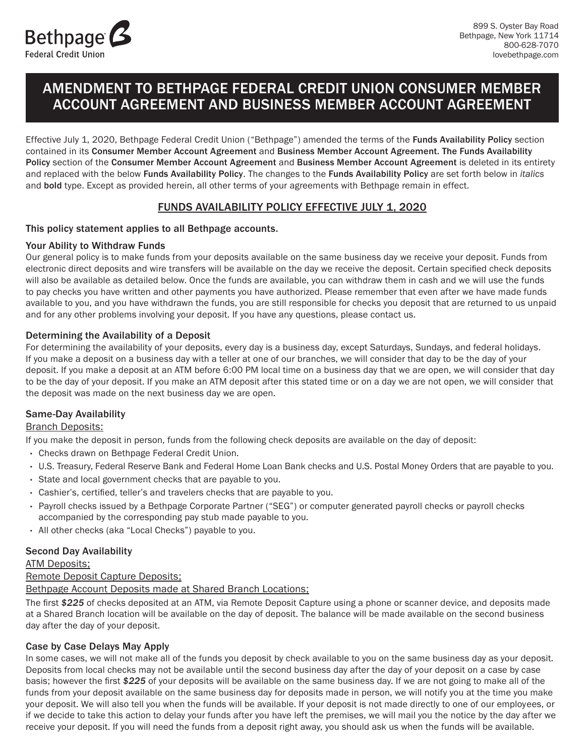

# AMENDMENT TO BETHPAGE FEDERAL CREDIT UNION CONSUMER MEMBER ACCOUNT AGREEMENT AND BUSINESS MEMBER ACCOUNT AGREEMENT

Effective July 1, 2020, Bethpage Federal Credit Union ("Bethpage") amended the terms of the Funds Availability Policy section contained in its Consumer Member Account Agreement and Business Member Account Agreement. The Funds Availability and replaced with the below Funds Availability Policy. The changes to the Funds Availability Policy are set forth below in *italics* and bold type. Except as provided herein, all other terms of your agreements with Bethpage remain in effect. Policy section of the Consumer Member Account Agreement and Business Member Account Agreement is deleted in its entirety

# FUNDS AVAILABILITY POLICY EFFECTIVE JULY 1, 2020

#### This policy statement applies to all Bethpage accounts.

#### Your Ability to Withdraw Funds

 Our general policy is to make funds from your deposits available on the same business day we receive your deposit. Funds from electronic direct deposits and wire transfers will be available on the day we receive the deposit. Certain specified check deposits will also be available as detailed below. Once the funds are available, you can withdraw them in cash and we will use the funds to pay checks you have written and other payments you have authorized. Please remember that even after we have made funds available to you, and you have withdrawn the funds, you are still responsible for checks you deposit that are returned to us unpaid and for any other problems involving your deposit. If you have any questions, please contact us.

#### Determining the Availability of a Deposit

 For determining the availability of your deposits, every day is a business day, except Saturdays, Sundays, and federal holidays. If you make a deposit on a business day with a teller at one of our branches, we will consider that day to be the day of your deposit. If you make a deposit at an ATM before 6:00 PM local time on a business day that we are open, we will consider that day to be the day of your deposit. If you make an ATM deposit after this stated time or on a day we are not open, we will consider that the deposit was made on the next business day we are open.

#### Same-Day Availability

#### Branch Deposits:

If you make the deposit in person, funds from the following check deposits are available on the day of deposit:

- Checks drawn on Bethpage Federal Credit Union.
- ˜° U.S. Treasury, Federal Reserve Bank and Federal Home Loan Bank checks and U.S. Postal Money Orders that are payable to you.
- State and local government checks that are payable to you.
- Cashier's, certified, teller's and travelers checks that are payable to you.
- Payroll checks issued by a Bethpage Corporate Partner ("SEG") or computer generated payroll checks or payroll checks accompanied by the corresponding pay stub made payable to you.
- All other checks (aka "Local Checks") payable to you.

#### Second Day Availability

ATM Deposits;

#### Remote Deposit Capture Deposits;

Bethpage Account Deposits made at Shared Branch Locations;

 The first *\$225* of checks deposited at an ATM, via Remote Deposit Capture using a phone or scanner device, and deposits made day after the day of your deposit. at a Shared Branch location will be available on the day of deposit. The balance will be made available on the second business

# Case by Case Delays May Apply

 Deposits from local checks may not be available until the second business day after the day of your deposit on a case by case basis; however the first *\$225* of your deposits will be available on the same business day. If we are not going to make all of the your deposit. We will also tell you when the funds will be available. If your deposit is not made directly to one of our employees, or if we decide to take this action to delay your funds after you have left the premises, we will mail you the notice by the day after we receive your deposit. If you will need the funds from a deposit right away, you should ask us when the funds will be available. In some cases, we will not make all of the funds you deposit by check available to you on the same business day as your deposit. funds from your deposit available on the same business day for deposits made in person, we will notify you at the time you make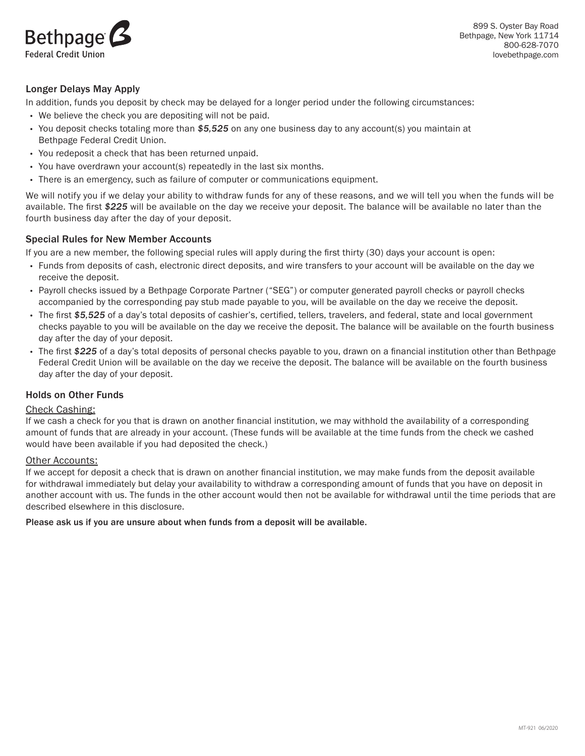

899 S. Oyster Bay Road Bethpage, New York 11714 800-628-7070 [lovebethpage.com](https://lovebethpage.com)

### Longer Delays May Apply

In addition, funds you deposit by check may be delayed for a longer period under the following circumstances:

- We believe the check you are depositing will not be paid.
- • You deposit checks totaling more than *\$5,525* on any one business day to any account(s) you maintain at Bethpage Federal Credit Union.
- You redeposit a check that has been returned unpaid.
- You have overdrawn your account(s) repeatedly in the last six months.
- There is an emergency, such as failure of computer or communications equipment.

 We will notify you if we delay your ability to withdraw funds for any of these reasons, and we will tell you when the funds will be available. The first *\$225* will be available on the day we receive your deposit. The balance will be available no later than the fourth business day after the day of your deposit.

#### Special Rules for New Member Accounts

If you are a new member, the following special rules will apply during the first thirty (30) days your account is open:

- • Funds from deposits of cash, electronic direct deposits, and wire transfers to your account will be available on the day we receive the deposit.
- • Payroll checks issued by a Bethpage Corporate Partner ("SEG") or computer generated payroll checks or payroll checks accompanied by the corresponding pay stub made payable to you, will be available on the day we receive the deposit.
- • The first *\$5,525* of a day's total deposits of cashier's, certified, tellers, travelers, and federal, state and local government checks payable to you will be available on the day we receive the deposit. The balance will be available on the fourth business day after the day of your deposit.
- • The first *\$225* of a day's total deposits of personal checks payable to you, drawn on a financial institution other than Bethpage Federal Credit Union will be available on the day we receive the deposit. The balance will be available on the fourth business day after the day of your deposit.

#### Holds on Other Funds

#### Check Cashing:

 If we cash a check for you that is drawn on another financial institution, we may withhold the availability of a corresponding amount of funds that are already in your account. (These funds will be available at the time funds from the check we cashed would have been available if you had deposited the check.)

#### Other Accounts:

 If we accept for deposit a check that is drawn on another financial institution, we may make funds from the deposit available for withdrawal immediately but delay your availability to withdraw a corresponding amount of funds that you have on deposit in another account with us. The funds in the other account would then not be available for withdrawal until the time periods that are described elsewhere in this disclosure.

#### Please ask us if you are unsure about when funds from a deposit will be available.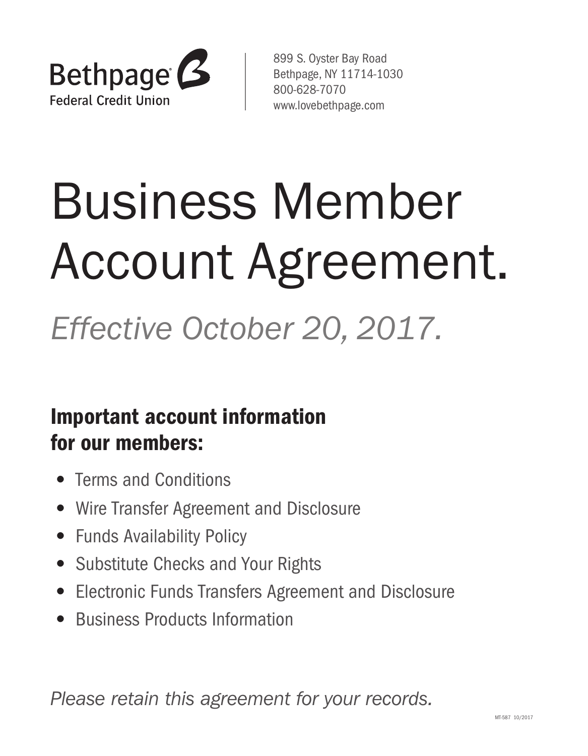

 899 S. Oyster Bay Road Bethpage, NY 11714-1030 800-628-7070 <www.lovebethpage.com>

# Business Member Account Agreement.

 *Effective October 20, 2017.* 

# Important account information for our members:

- Terms and Conditions
- Wire Transfer Agreement and Disclosure
- Funds Availability Policy
- Substitute Checks and Your Rights
- Electronic Funds Transfers Agreement and Disclosure
- Business Products Information

 *Please retain this agreement for your records.*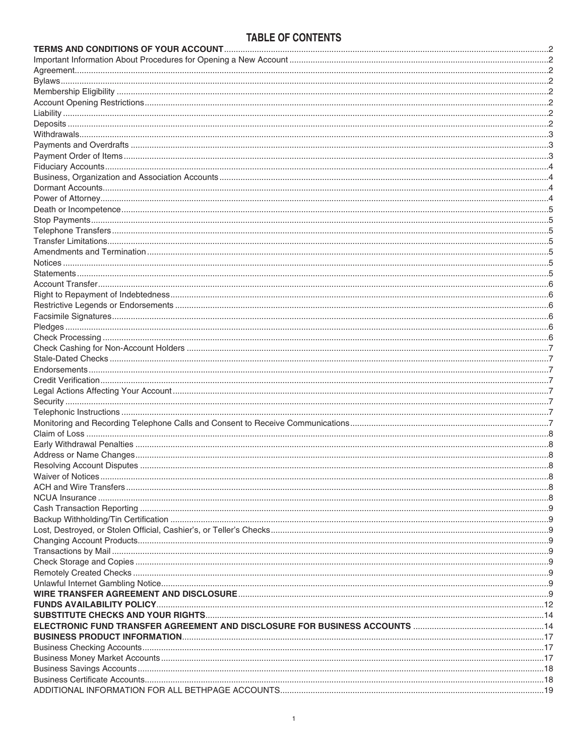# TABLE OF CONTENTS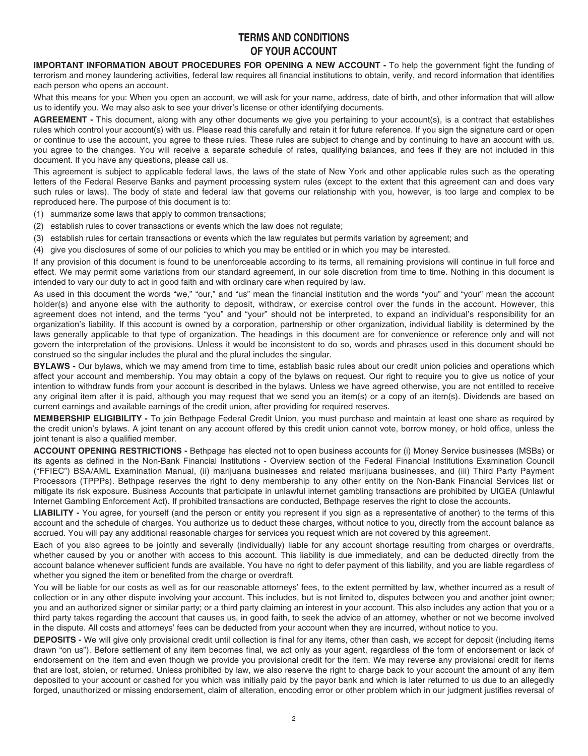# **TERMS AND CONDITIONS OF YOUR ACCOUNT**

<span id="page-4-0"></span> **IMPORTANT INFORMATION ABOUT PROCEDURES FOR OPENING A NEW ACCOUNT -** To help the government fight the funding of terrorism and money laundering activities, federal law requires all financial institutions to obtain, verify, and record information that identifies each person who opens an account.

 What this means for you: When you open an account, we will ask for your name, address, date of birth, and other information that will allow us to identify you. We may also ask to see your driver's license or other identifying documents.

 **AGREEMENT -** This document, along with any other documents we give you pertaining to your account(s), is a contract that establishes rules which control your account(s) with us. Please read this carefully and retain it for future reference. If you sign the signature card or open or continue to use the account, you agree to these rules. These rules are subject to change and by continuing to have an account with us, you agree to the changes. You will receive a separate schedule of rates, qualifying balances, and fees if they are not included in this document. If you have any questions, please call us.

 This agreement is subject to applicable federal laws, the laws of the state of New York and other applicable rules such as the operating letters of the Federal Reserve Banks and payment processing system rules (except to the extent that this agreement can and does vary such rules or laws). The body of state and federal law that governs our relationship with you, however, is too large and complex to be reproduced here. The purpose of this document is to:

- (1) summarize some laws that apply to common transactions;
- (2) establish rules to cover transactions or events which the law does not regulate;
- (3) establish rules for certain transactions or events which the law regulates but permits variation by agreement; and
- (4) give you disclosures of some of our policies to which you may be entitled or in which you may be interested.

 If any provision of this document is found to be unenforceable according to its terms, all remaining provisions will continue in full force and effect. We may permit some variations from our standard agreement, in our sole discretion from time to time. Nothing in this document is intended to vary our duty to act in good faith and with ordinary care when required by law.

 As used in this document the words "we," "our," and "us" mean the financial institution and the words "you" and "your" mean the account holder(s) and anyone else with the authority to deposit, withdraw, or exercise control over the funds in the account. However, this agreement does not intend, and the terms "you" and "your" should not be interpreted, to expand an individual's responsibility for an organization's liability. If this account is owned by a corporation, partnership or other organization, individual liability is determined by the laws generally applicable to that type of organization. The headings in this document are for convenience or reference only and will not govern the interpretation of the provisions. Unless it would be inconsistent to do so, words and phrases used in this document should be construed so the singular includes the plural and the plural includes the singular.

 **BYLAWS -** Our bylaws, which we may amend from time to time, establish basic rules about our credit union policies and operations which affect your account and membership. You may obtain a copy of the bylaws on request. Our right to require you to give us notice of your intention to withdraw funds from your account is described in the bylaws. Unless we have agreed otherwise, you are not entitled to receive any original item after it is paid, although you may request that we send you an item(s) or a copy of an item(s). Dividends are based on current earnings and available earnings of the credit union, after providing for required reserves.

 **MEMBERSHIP ELIGIBILITY -** To join Bethpage Federal Credit Union, you must purchase and maintain at least one share as required by the credit union's bylaws. A joint tenant on any account offered by this credit union cannot vote, borrow money, or hold office, unless the joint tenant is also a qualified member.

 **ACCOUNT OPENING RESTRICTIONS -** Bethpage has elected not to open business accounts for (i) Money Service businesses (MSBs) or its agents as defined in the Non-Bank Financial Institutions - Overview section of the Federal Financial Institutions Examination Council ("FFIEC") BSA/AML Examination Manual, (ii) marijuana businesses and related marijuana businesses, and (iii) Third Party Payment Processors (TPPPs). Bethpage reserves the right to deny membership to any other entity on the Non-Bank Financial Services list or mitigate its risk exposure. Business Accounts that participate in unlawful internet gambling transactions are prohibited by UIGEA (Unlawful Internet Gambling Enforcement Act). If prohibited transactions are conducted, Bethpage reserves the right to close the accounts.

 **LIABILITY -** You agree, for yourself (and the person or entity you represent if you sign as a representative of another) to the terms of this account and the schedule of charges. You authorize us to deduct these charges, without notice to you, directly from the account balance as accrued. You will pay any additional reasonable charges for services you request which are not covered by this agreement.

 Each of you also agrees to be jointly and severally (individually) liable for any account shortage resulting from charges or overdrafts, whether caused by you or another with access to this account. This liability is due immediately, and can be deducted directly from the account balance whenever sufficient funds are available. You have no right to defer payment of this liability, and you are liable regardless of whether you signed the item or benefited from the charge or overdraft.

 You will be liable for our costs as well as for our reasonable attorneys' fees, to the extent permitted by law, whether incurred as a result of collection or in any other dispute involving your account. This includes, but is not limited to, disputes between you and another joint owner; you and an authorized signer or similar party; or a third party claiming an interest in your account. This also includes any action that you or a third party takes regarding the account that causes us, in good faith, to seek the advice of an attorney, whether or not we become involved in the dispute. All costs and attorneys' fees can be deducted from your account when they are incurred, without notice to you.

 **DEPOSITS -** We will give only provisional credit until collection is final for any items, other than cash, we accept for deposit (including items drawn "on us"). Before settlement of any item becomes final, we act only as your agent, regardless of the form of endorsement or lack of endorsement on the item and even though we provide you provisional credit for the item. We may reverse any provisional credit for items that are lost, stolen, or returned. Unless prohibited by law, we also reserve the right to charge back to your account the amount of any item deposited to your account or cashed for you which was initially paid by the payor bank and which is later returned to us due to an allegedly forged, unauthorized or missing endorsement, claim of alteration, encoding error or other problem which in our judgment justifies reversal of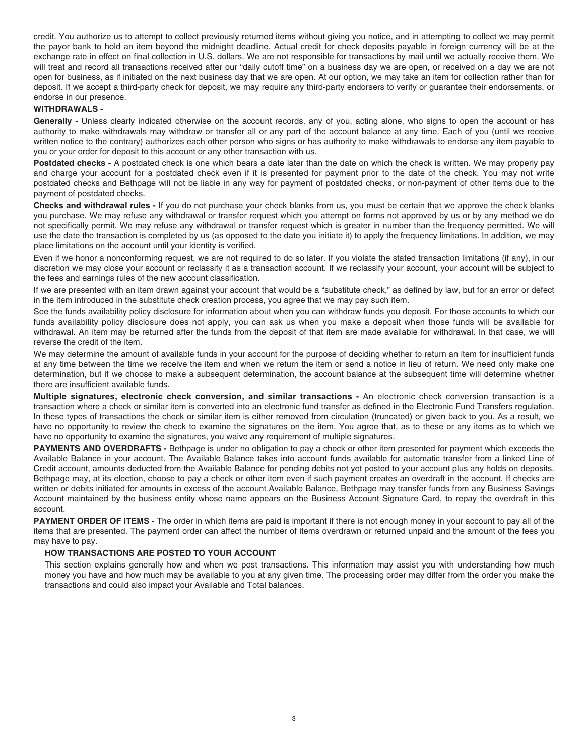<span id="page-5-0"></span> credit. You authorize us to attempt to collect previously returned items without giving you notice, and in attempting to collect we may permit the payor bank to hold an item beyond the midnight deadline. Actual credit for check deposits payable in foreign currency will be at the exchange rate in effect on final collection in U.S. dollars. We are not responsible for transactions by mail until we actually receive them. We will treat and record all transactions received after our "daily cutoff time" on a business day we are open, or received on a day we are not open for business, as if initiated on the next business day that we are open. At our option, we may take an item for collection rather than for deposit. If we accept a third-party check for deposit, we may require any third-party endorsers to verify or guarantee their endorsements, or endorse in our presence.

#### **WITHDRAWALS -**

 **Generally -** Unless clearly indicated otherwise on the account records, any of you, acting alone, who signs to open the account or has authority to make withdrawals may withdraw or transfer all or any part of the account balance at any time. Each of you (until we receive written notice to the contrary) authorizes each other person who signs or has authority to make withdrawals to endorse any item payable to you or your order for deposit to this account or any other transaction with us.

 **Postdated checks -** A postdated check is one which bears a date later than the date on which the check is written. We may properly pay and charge your account for a postdated check even if it is presented for payment prior to the date of the check. You may not write postdated checks and Bethpage will not be liable in any way for payment of postdated checks, or non-payment of other items due to the payment of postdated checks.

 **Checks and withdrawal rules -** If you do not purchase your check blanks from us, you must be certain that we approve the check blanks you purchase. We may refuse any withdrawal or transfer request which you attempt on forms not approved by us or by any method we do not specifically permit. We may refuse any withdrawal or transfer request which is greater in number than the frequency permitted. We will use the date the transaction is completed by us (as opposed to the date you initiate it) to apply the frequency limitations. In addition, we may place limitations on the account until your identity is verified.

 Even if we honor a nonconforming request, we are not required to do so later. If you violate the stated transaction limitations (if any), in our discretion we may close your account or reclassify it as a transaction account. If we reclassify your account, your account will be subject to the fees and earnings rules of the new account classification.

 If we are presented with an item drawn against your account that would be a "substitute check," as defined by law, but for an error or defect in the item introduced in the substitute check creation process, you agree that we may pay such item.

 See the funds availability policy disclosure for information about when you can withdraw funds you deposit. For those accounts to which our funds availability policy disclosure does not apply, you can ask us when you make a deposit when those funds will be available for withdrawal. An item may be returned after the funds from the deposit of that item are made available for withdrawal. In that case, we will reverse the credit of the item.

 We may determine the amount of available funds in your account for the purpose of deciding whether to return an item for insufficient funds at any time between the time we receive the item and when we return the item or send a notice in lieu of return. We need only make one determination, but if we choose to make a subsequent determination, the account balance at the subsequent time will determine whether there are insufficient available funds.

 **Multiple signatures, electronic check conversion, and similar transactions -** An electronic check conversion transaction is a transaction where a check or similar item is converted into an electronic fund transfer as defined in the Electronic Fund Transfers regulation. In these types of transactions the check or similar item is either removed from circulation (truncated) or given back to you. As a result, we have no opportunity to review the check to examine the signatures on the item. You agree that, as to these or any items as to which we have no opportunity to examine the signatures, you waive any requirement of multiple signatures.

 **PAYMENTS AND OVERDRAFTS -** Bethpage is under no obligation to pay a check or other item presented for payment which exceeds the Available Balance in your account. The Available Balance takes into account funds available for automatic transfer from a linked Line of Credit account, amounts deducted from the Available Balance for pending debits not yet posted to your account plus any holds on deposits. Bethpage may, at its election, choose to pay a check or other item even if such payment creates an overdraft in the account. If checks are written or debits initiated for amounts in excess of the account Available Balance, Bethpage may transfer funds from any Business Savings Account maintained by the business entity whose name appears on the Business Account Signature Card, to repay the overdraft in this account.

 **PAYMENT ORDER OF ITEMS -** The order in which items are paid is important if there is not enough money in your account to pay all of the items that are presented. The payment order can affect the number of items overdrawn or returned unpaid and the amount of the fees you may have to pay.

#### **HOW TRANSACTIONS ARE POSTED TO YOUR ACCOUNT**

 This section explains generally how and when we post transactions. This information may assist you with understanding how much money you have and how much may be available to you at any given time. The processing order may differ from the order you make the transactions and could also impact your Available and Total balances.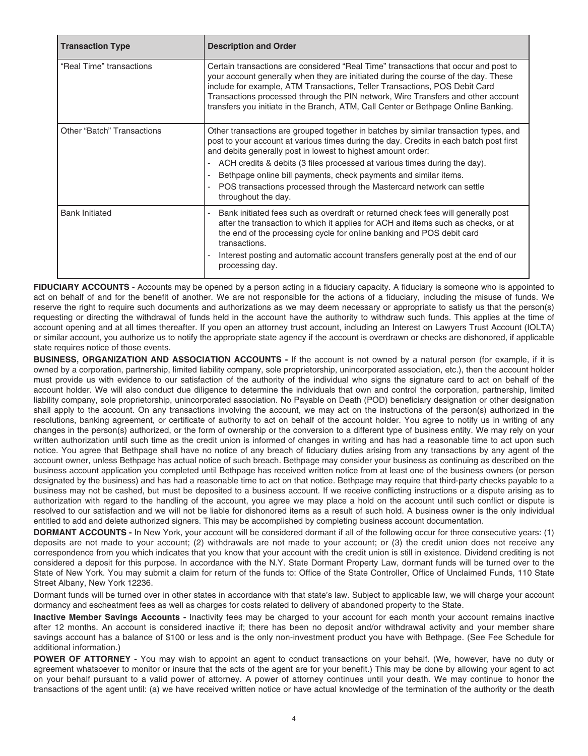| <b>Transaction Type</b>           | <b>Description and Order</b>                                                                                                                                                                                                                                                                                                                                                                                                                                                                   |
|-----------------------------------|------------------------------------------------------------------------------------------------------------------------------------------------------------------------------------------------------------------------------------------------------------------------------------------------------------------------------------------------------------------------------------------------------------------------------------------------------------------------------------------------|
| "Real Time" transactions          | Certain transactions are considered "Real Time" transactions that occur and post to<br>your account generally when they are initiated during the course of the day. These<br>include for example, ATM Transactions, Teller Transactions, POS Debit Card<br>Transactions processed through the PIN network, Wire Transfers and other account<br>transfers you initiate in the Branch, ATM, Call Center or Bethpage Online Banking.                                                              |
| <b>Other "Batch" Transactions</b> | Other transactions are grouped together in batches by similar transaction types, and<br>post to your account at various times during the day. Credits in each batch post first<br>and debits generally post in lowest to highest amount order:<br>ACH credits & debits (3 files processed at various times during the day).<br>Bethpage online bill payments, check payments and similar items.<br>POS transactions processed through the Mastercard network can settle<br>throughout the day. |
| <b>Bank Initiated</b>             | Bank initiated fees such as overdraft or returned check fees will generally post<br>after the transaction to which it applies for ACH and items such as checks, or at<br>the end of the processing cycle for online banking and POS debit card<br>transactions.<br>Interest posting and automatic account transfers generally post at the end of our<br>processing day.                                                                                                                        |

 **FIDUCIARY ACCOUNTS -** Accounts may be opened by a person acting in a fiduciary capacity. A fiduciary is someone who is appointed to act on behalf of and for the benefit of another. We are not responsible for the actions of a fiduciary, including the misuse of funds. We reserve the right to require such documents and authorizations as we may deem necessary or appropriate to satisfy us that the person(s) requesting or directing the withdrawal of funds held in the account have the authority to withdraw such funds. This applies at the time of account opening and at all times thereafter. If you open an attorney trust account, including an Interest on Lawyers Trust Account (IOLTA) or similar account, you authorize us to notify the appropriate state agency if the account is overdrawn or checks are dishonored, if applicable state requires notice of those events.

 **BUSINESS, ORGANIZATION AND ASSOCIATION ACCOUNTS -** If the account is not owned by a natural person (for example, if it is owned by a corporation, partnership, limited liability company, sole proprietorship, unincorporated association, etc.), then the account holder must provide us with evidence to our satisfaction of the authority of the individual who signs the signature card to act on behalf of the account holder. We will also conduct due diligence to determine the individuals that own and control the corporation, partnership, limited liability company, sole proprietorship, unincorporated association. No Payable on Death (POD) beneficiary designation or other designation shall apply to the account. On any transactions involving the account, we may act on the instructions of the person(s) authorized in the resolutions, banking agreement, or certificate of authority to act on behalf of the account holder. You agree to notify us in writing of any changes in the person(s) authorized, or the form of ownership or the conversion to a different type of business entity. We may rely on your written authorization until such time as the credit union is informed of changes in writing and has had a reasonable time to act upon such notice. You agree that Bethpage shall have no notice of any breach of fiduciary duties arising from any transactions by any agent of the account owner, unless Bethpage has actual notice of such breach. Bethpage may consider your business as continuing as described on the business account application you completed until Bethpage has received written notice from at least one of the business owners (or person designated by the business) and has had a reasonable time to act on that notice. Bethpage may require that third-party checks payable to a business may not be cashed, but must be deposited to a business account. If we receive conflicting instructions or a dispute arising as to authorization with regard to the handling of the account, you agree we may place a hold on the account until such conflict or dispute is resolved to our satisfaction and we will not be liable for dishonored items as a result of such hold. A business owner is the only individual entitled to add and delete authorized signers. This may be accomplished by completing business account documentation.

 **DORMANT ACCOUNTS -** In New York, your account will be considered dormant if all of the following occur for three consecutive years: (1) deposits are not made to your account; (2) withdrawals are not made to your account; or (3) the credit union does not receive any correspondence from you which indicates that you know that your account with the credit union is still in existence. Dividend crediting is not considered a deposit for this purpose. In accordance with the N.Y. State Dormant Property Law, dormant funds will be turned over to the State of New York. You may submit a claim for return of the funds to: Office of the State Controller, Office of Unclaimed Funds, 110 State Street Albany, New York 12236.

 Dormant funds will be turned over in other states in accordance with that state's law. Subject to applicable law, we will charge your account dormancy and escheatment fees as well as charges for costs related to delivery of abandoned property to the State.

 **Inactive Member Savings Accounts -** Inactivity fees may be charged to your account for each month your account remains inactive after 12 months. An account is considered inactive if; there has been no deposit and/or withdrawal activity and your member share savings account has a balance of \$100 or less and is the only non-investment product you have with Bethpage. (See Fee Schedule for additional information.)

 **POWER OF ATTORNEY -** You may wish to appoint an agent to conduct transactions on your behalf. (We, however, have no duty or agreement whatsoever to monitor or insure that the acts of the agent are for your benefit.) This may be done by allowing your agent to act on your behalf pursuant to a valid power of attorney. A power of attorney continues until your death. We may continue to honor the transactions of the agent until: (a) we have received written notice or have actual knowledge of the termination of the authority or the death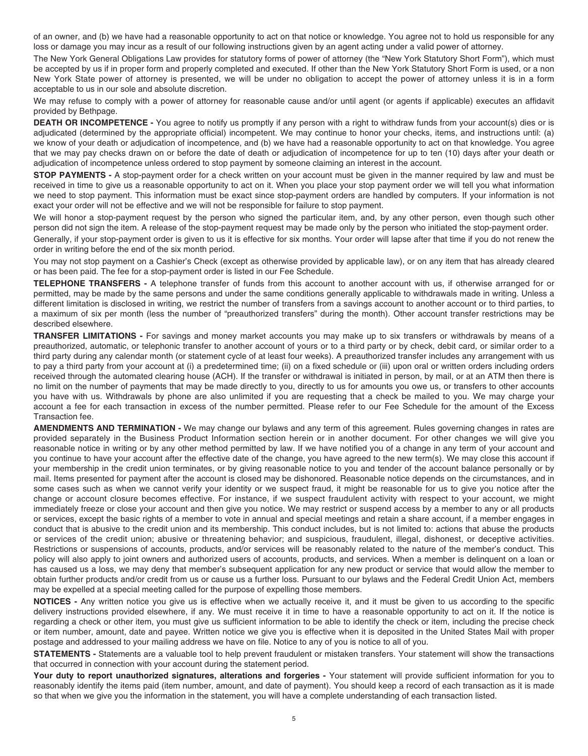<span id="page-7-0"></span> of an owner, and (b) we have had a reasonable opportunity to act on that notice or knowledge. You agree not to hold us responsible for any loss or damage you may incur as a result of our following instructions given by an agent acting under a valid power of attorney.

 The New York General Obligations Law provides for statutory forms of power of attorney (the "New York Statutory Short Form"), which must be accepted by us if in proper form and properly completed and executed. If other than the New York Statutory Short Form is used, or a non New York State power of attorney is presented, we will be under no obligation to accept the power of attorney unless it is in a form acceptable to us in our sole and absolute discretion.

 We may refuse to comply with a power of attorney for reasonable cause and/or until agent (or agents if applicable) executes an affidavit provided by Bethpage.

 **DEATH OR INCOMPETENCE -** You agree to notify us promptly if any person with a right to withdraw funds from your account(s) dies or is adjudicated (determined by the appropriate official) incompetent. We may continue to honor your checks, items, and instructions until: (a) we know of your death or adjudication of incompetence, and (b) we have had a reasonable opportunity to act on that knowledge. You agree that we may pay checks drawn on or before the date of death or adjudication of incompetence for up to ten (10) days after your death or adjudication of incompetence unless ordered to stop payment by someone claiming an interest in the account.

 **STOP PAYMENTS -** A stop-payment order for a check written on your account must be given in the manner required by law and must be received in time to give us a reasonable opportunity to act on it. When you place your stop payment order we will tell you what information we need to stop payment. This information must be exact since stop-payment orders are handled by computers. If your information is not exact your order will not be effective and we will not be responsible for failure to stop payment.

 We will honor a stop-payment request by the person who signed the particular item, and, by any other person, even though such other person did not sign the item. A release of the stop-payment request may be made only by the person who initiated the stop-payment order.

 Generally, if your stop-payment order is given to us it is effective for six months. Your order will lapse after that time if you do not renew the order in writing before the end of the six month period.

 You may not stop payment on a Cashier's Check (except as otherwise provided by applicable law), or on any item that has already cleared or has been paid. The fee for a stop-payment order is listed in our Fee Schedule.

 **TELEPHONE TRANSFERS -** A telephone transfer of funds from this account to another account with us, if otherwise arranged for or permitted, may be made by the same persons and under the same conditions generally applicable to withdrawals made in writing. Unless a different limitation is disclosed in writing, we restrict the number of transfers from a savings account to another account or to third parties, to a maximum of six per month (less the number of "preauthorized transfers" during the month). Other account transfer restrictions may be described elsewhere.

 **TRANSFER LIMITATIONS -** For savings and money market accounts you may make up to six transfers or withdrawals by means of a preauthorized, automatic, or telephonic transfer to another account of yours or to a third party or by check, debit card, or similar order to a third party during any calendar month (or statement cycle of at least four weeks). A preauthorized transfer includes any arrangement with us to pay a third party from your account at (i) a predetermined time; (ii) on a fixed schedule or (iii) upon oral or written orders including orders received through the automated clearing house (ACH). If the transfer or withdrawal is initiated in person, by mail, or at an ATM then there is no limit on the number of payments that may be made directly to you, directly to us for amounts you owe us, or transfers to other accounts you have with us. Withdrawals by phone are also unlimited if you are requesting that a check be mailed to you. We may charge your account a fee for each transaction in excess of the number permitted. Please refer to our Fee Schedule for the amount of the Excess Transaction fee.

 **AMENDMENTS AND TERMINATION -** We may change our bylaws and any term of this agreement. Rules governing changes in rates are provided separately in the Business Product Information section herein or in another document. For other changes we will give you reasonable notice in writing or by any other method permitted by law. If we have notified you of a change in any term of your account and you continue to have your account after the effective date of the change, you have agreed to the new term(s). We may close this account if your membership in the credit union terminates, or by giving reasonable notice to you and tender of the account balance personally or by mail. Items presented for payment after the account is closed may be dishonored. Reasonable notice depends on the circumstances, and in some cases such as when we cannot verify your identity or we suspect fraud, it might be reasonable for us to give you notice after the change or account closure becomes effective. For instance, if we suspect fraudulent activity with respect to your account, we might immediately freeze or close your account and then give you notice. We may restrict or suspend access by a member to any or all products or services, except the basic rights of a member to vote in annual and special meetings and retain a share account, if a member engages in conduct that is abusive to the credit union and its membership. This conduct includes, but is not limited to: actions that abuse the products or services of the credit union; abusive or threatening behavior; and suspicious, fraudulent, illegal, dishonest, or deceptive activities. Restrictions or suspensions of accounts, products, and/or services will be reasonably related to the nature of the member's conduct. This policy will also apply to joint owners and authorized users of accounts, products, and services. When a member is delinquent on a loan or has caused us a loss, we may deny that member's subsequent application for any new product or service that would allow the member to obtain further products and/or credit from us or cause us a further loss. Pursuant to our bylaws and the Federal Credit Union Act, members may be expelled at a special meeting called for the purpose of expelling those members.

 **NOTICES -** Any written notice you give us is effective when we actually receive it, and it must be given to us according to the specific delivery instructions provided elsewhere, if any. We must receive it in time to have a reasonable opportunity to act on it. If the notice is regarding a check or other item, you must give us sufficient information to be able to identify the check or item, including the precise check or item number, amount, date and payee. Written notice we give you is effective when it is deposited in the United States Mail with proper postage and addressed to your mailing address we have on file. Notice to any of you is notice to all of you.

 **STATEMENTS -** Statements are a valuable tool to help prevent fraudulent or mistaken transfers. Your statement will show the transactions that occurred in connection with your account during the statement period.

 **Your duty to report unauthorized signatures, alterations and forgeries -** Your statement will provide sufficient information for you to reasonably identify the items paid (item number, amount, and date of payment). You should keep a record of each transaction as it is made so that when we give you the information in the statement, you will have a complete understanding of each transaction listed.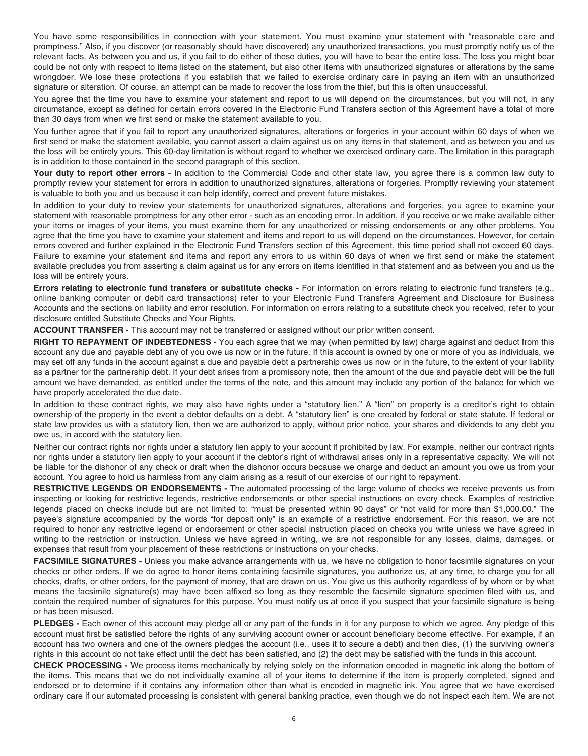<span id="page-8-0"></span> You have some responsibilities in connection with your statement. You must examine your statement with "reasonable care and promptness." Also, if you discover (or reasonably should have discovered) any unauthorized transactions, you must promptly notify us of the relevant facts. As between you and us, if you fail to do either of these duties, you will have to bear the entire loss. The loss you might bear could be not only with respect to items listed on the statement, but also other items with unauthorized signatures or alterations by the same wrongdoer. We lose these protections if you establish that we failed to exercise ordinary care in paying an item with an unauthorized signature or alteration. Of course, an attempt can be made to recover the loss from the thief, but this is often unsuccessful.

 You agree that the time you have to examine your statement and report to us will depend on the circumstances, but you will not, in any circumstance, except as defined for certain errors covered in the Electronic Fund Transfers section of this Agreement have a total of more than 30 days from when we first send or make the statement available to you.

 You further agree that if you fail to report any unauthorized signatures, alterations or forgeries in your account within 60 days of when we first send or make the statement available, you cannot assert a claim against us on any items in that statement, and as between you and us the loss will be entirely yours. This 60-day limitation is without regard to whether we exercised ordinary care. The limitation in this paragraph is in addition to those contained in the second paragraph of this section.

 **Your duty to report other errors -** In addition to the Commercial Code and other state law, you agree there is a common law duty to promptly review your statement for errors in addition to unauthorized signatures, alterations or forgeries. Promptly reviewing your statement is valuable to both you and us because it can help identify, correct and prevent future mistakes.

 In addition to your duty to review your statements for unauthorized signatures, alterations and forgeries, you agree to examine your statement with reasonable promptness for any other error - such as an encoding error. In addition, if you receive or we make available either your items or images of your items, you must examine them for any unauthorized or missing endorsements or any other problems. You agree that the time you have to examine your statement and items and report to us will depend on the circumstances. However, for certain errors covered and further explained in the Electronic Fund Transfers section of this Agreement, this time period shall not exceed 60 days. Failure to examine your statement and items and report any errors to us within 60 days of when we first send or make the statement available precludes you from asserting a claim against us for any errors on items identified in that statement and as between you and us the loss will be entirely yours.

 **Errors relating to electronic fund transfers or substitute checks -** For information on errors relating to electronic fund transfers (e.g., online banking computer or debit card transactions) refer to your Electronic Fund Transfers Agreement and Disclosure for Business Accounts and the sections on liability and error resolution. For information on errors relating to a substitute check you received, refer to your disclosure entitled Substitute Checks and Your Rights.

**ACCOUNT TRANSFER -** This account may not be transferred or assigned without our prior written consent.

 **RIGHT TO REPAYMENT OF INDEBTEDNESS -** You each agree that we may (when permitted by law) charge against and deduct from this [account any due and payable debt any of you owe us now or in the future. If](https://accountanydueandpayabledebtanyofyouoweusnoworinthefuture.If) this account is owned by one or more of you as individuals, we may set off any funds in the account against a due and payable debt a partnership owes us now or in the future, to the extent of your liability as a partner for the partnership debt. If your debt arises from a promissory note, then the amount of the due and payable debt will be the full amount we have demanded, as entitled under the terms of the note, and this amount may include any portion of the balance for which we have properly accelerated the due date.

 In addition to these contract rights, we may also have rights under a "statutory lien." A "lien" on property is a creditor's right to obtain ownership of the property in the event a debtor defaults on a debt. A "statutory lien" is one created by federal or state statute. If federal or state law provides us with a statutory lien, then we are authorized to apply, without prior notice, your shares and dividends to any debt you owe us, in accord with the statutory lien.

 Neither our contract rights nor rights under a statutory lien apply to your account if prohibited by law. For example, neither our contract rights nor rights under a statutory lien apply to your account if the debtor's right of withdrawal arises only in a representative capacity. We will not be liable for the dishonor of any check or draft when the dishonor occurs because we charge and deduct an amount you owe us from your account. You agree to hold us harmless from any claim arising as a result of our exercise of our right to repayment.

 **RESTRICTIVE LEGENDS OR ENDORSEMENTS -** The automated processing of the large volume of checks we receive prevents us from inspecting or looking for restrictive legends, restrictive endorsements or other special instructions on every check. Examples of restrictive legends placed on checks include but are not limited to: "must be presented within 90 days" or "not valid for more than [\\$1,000.00](https://1,000.00)." The payee's signature accompanied by the words "for deposit only" is an example of a restrictive endorsement. For this reason, we are not required to honor any restrictive legend or endorsement or other special instruction placed on checks you write unless we have agreed in writing to the restriction or instruction. Unless we have agreed in writing, we are not responsible for any losses, claims, damages, or expenses that result from your placement of these restrictions or instructions on your checks.

 **FACSIMILE SIGNATURES -** Unless you make advance arrangements with us, we have no obligation to honor facsimile signatures on your checks or other orders. If we do agree to honor items containing facsimile signatures, you authorize us, at any time, to charge you for all checks, drafts, or other orders, for the payment of money, that are drawn on us. You give us this authority regardless of by whom or by what means the facsimile signature(s) may have been affixed so long as they resemble the facsimile signature specimen filed with us, and contain the required number of signatures for this purpose. You must notify us at once if you suspect that your facsimile signature is being or has been misused.

 **PLEDGES -** Each owner of this account may pledge all or any part of the funds in it for any purpose to which we agree. Any pledge of this account must first be satisfied before the rights of any surviving account owner or account beneficiary become effective. For example, if an account has two owners and one of the owners pledges the account (i.e., uses it to secure a debt) and then dies, (1) the surviving owner's rights in this account do not take effect until the debt has been satisfied, and (2) the debt may be satisfied with the funds in this account.

 **CHECK PROCESSING -** We process items mechanically by relying solely on the information encoded in magnetic ink along the bottom of the items. This means that we do not individually examine all of your items to determine if the item is properly completed, signed and endorsed or to determine if it contains any information other than what is encoded in magnetic ink. You agree that we have exercised ordinary care if our automated processing is consistent with general banking practice, even though we do not inspect each item. We are not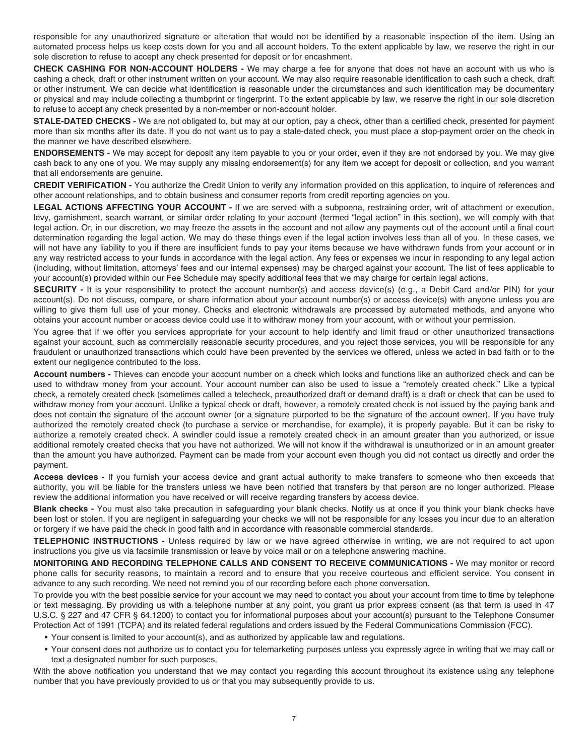<span id="page-9-0"></span> responsible for any unauthorized signature or alteration that would not be identified by a reasonable inspection of the item. Using an automated process helps us keep costs down for you and all account holders. To the extent applicable by law, we reserve the right in our sole discretion to refuse to accept any check presented for deposit or for encashment.

 **CHECK CASHING FOR NON-ACCOUNT HOLDERS -** We may charge a fee for anyone that does not have an account with us who is cashing a check, draft or other instrument written on your account. We may also require reasonable identification to cash such a check, draft or other instrument. We can decide what identification is reasonable under the circumstances and such identification may be documentary or physical and may include collecting a thumbprint or fingerprint. To the extent applicable by law, we reserve the right in our sole discretion to refuse to accept any check presented by a non-member or non-account holder.

 **STALE-DATED CHECKS -** We are not obligated to, but may at our option, pay a check, other than a certified check, presented for payment more than six months after its date. If you do not want us to pay a stale-dated check, you must place a stop-payment order on the check in the manner we have described elsewhere.

 **ENDORSEMENTS -** We may accept for deposit any item payable to you or your order, even if they are not endorsed by you. We may give cash back to any one of you. We may supply any missing endorsement(s) for any item we accept for deposit or collection, and you warrant that all endorsements are genuine.

 **CREDIT VERIFICATION -** You authorize the Credit Union to verify any information provided on this application, to inquire of references and other account relationships, and to obtain business and consumer reports from credit reporting agencies on you.

 **LEGAL ACTIONS AFFECTING YOUR ACCOUNT -** If we are served with a subpoena, restraining order, writ of attachment or execution, levy, garnishment, search warrant, or similar order relating to your account (termed "legal action" in this section), we will comply with that legal action. Or, in our discretion, we may freeze the assets in the account and not allow any payments out of the account until a final court determination regarding the legal action. We may do these things even if the legal action involves less than all of you. In these cases, we will not have any liability to you if there are insufficient funds to pay your items because we have withdrawn funds from your account or in any way restricted access to your funds in accordance with the legal action. Any fees or expenses we incur in responding to any legal action (including, without limitation, attorneys' fees and our internal expenses) may be charged against your account. The list of fees applicable to your account(s) provided within our Fee Schedule may specify additional fees that we may charge for certain legal actions.

 **SECURITY -** It is your responsibility to protect the account number(s) and access device(s) (e.g., a Debit Card and/or PIN) for your account(s). Do not discuss, compare, or share information about your account number(s) or access device(s) with anyone unless you are willing to give them full use of your money. Checks and electronic withdrawals are processed by automated methods, and anyone who obtains your account number or access device could use it to withdraw money from your account, with or without your permission.

 You agree that if we offer you services appropriate for your account to help identify and limit fraud or other unauthorized transactions against your account, such as commercially reasonable security procedures, and you reject those services, you will be responsible for any fraudulent or unauthorized transactions which could have been prevented by the services we offered, unless we acted in bad faith or to the extent our negligence contributed to the loss.

 **Account numbers -** Thieves can encode your account number on a check which looks and functions like an authorized check and can be used to withdraw money from your account. Your account number can also be used to issue a "remotely created check." Like a typical check, a remotely created check (sometimes called a telecheck, preauthorized draft or demand draft) is a draft or check that can be used to withdraw money from your account. Unlike a typical check or draft, however, a remotely created check is not issued by the paying bank and does not contain the signature of the account owner (or a signature purported to be the signature of the account owner). If you have truly authorized the remotely created check (to purchase a service or merchandise, for example), it is properly payable. But it can be risky to authorize a remotely created check. A swindler could issue a remotely created check in an amount greater than you authorized, or issue additional remotely created checks that you have not authorized. We will not know if the withdrawal is unauthorized or in an amount greater than the amount you have authorized. Payment can be made from your account even though you did not contact us directly and order the payment.

 **Access devices -** If you furnish your access device and grant actual authority to make transfers to someone who then exceeds that authority, you will be liable for the transfers unless we have been notified that transfers by that person are no longer authorized. Please review the additional information you have received or will receive regarding transfers by access device.

 **Blank checks -** You must also take precaution in safeguarding your blank checks. Notify us at once if you think your blank checks have been lost or stolen. If you are negligent in safeguarding your checks we will not be responsible for any losses you incur due to an alteration or forgery if we have paid the check in good faith and in accordance with reasonable commercial standards.

 **TELEPHONIC INSTRUCTIONS -** Unless required by law or we have agreed otherwise in writing, we are not required to act upon instructions you give us via facsimile transmission or leave by voice mail or on a telephone answering machine.

 **MONITORING AND RECORDING TELEPHONE CALLS AND CONSENT TO RECEIVE COMMUNICATIONS -** We may monitor or record phone calls for security reasons, to maintain a record and to ensure that you receive courteous and efficient service. You consent in advance to any such recording. We need not remind you of our recording before each phone conversation.

 To provide you with the best possible service for your account we may need to contact you about your account from time to time by telephone or text messaging. By providing us with a telephone number at any point, you grant us prior express consent (as that term is used in 47 U.S.C. § 227 and 47 CFR § 64.1200) to contact you for informational purposes about your account(s) pursuant to the Telephone Consumer Protection Act of 1991 (TCPA) and its related federal regulations and orders issued by the Federal Communications Commission (FCC).

- Your consent is limited to your account(s), and as authorized by applicable law and regulations.
- • Your consent does not authorize us to contact you for telemarketing purposes unless you expressly agree in writing that we may call or text a designated number for such purposes.

 With the above notification you understand that we may contact you regarding this account throughout its existence using any telephone number that you have previously provided to us or that you may subsequently provide to us.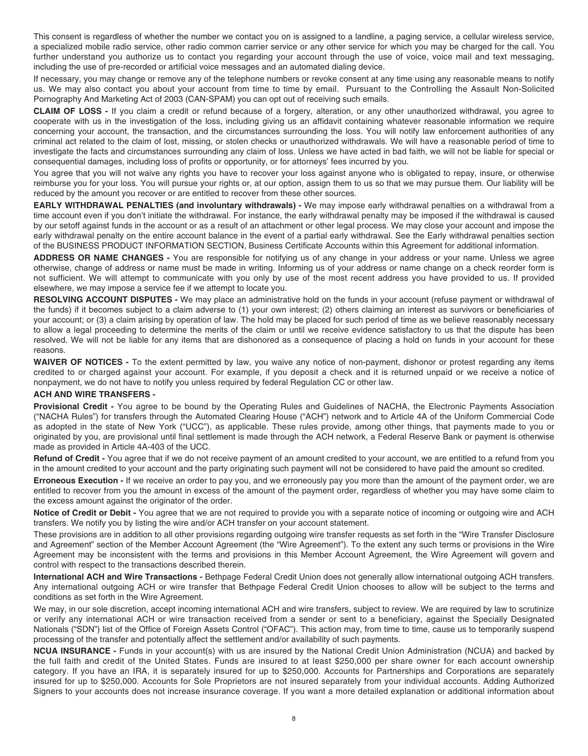<span id="page-10-0"></span> This consent is regardless of whether the number we contact you on is assigned to a landline, a paging service, a cellular wireless service, a specialized mobile radio service, other radio common carrier service or any other service for which you may be charged for the call. You further understand you authorize us to contact you regarding your account through the use of voice, voice mail and text messaging, including the use of pre-recorded or artificial voice messages and an automated dialing device.

 us. We may also contact you about your account from time to time by email. Pursuant to the Controlling the Assault Non-Solicited Pornography And Marketing Act of 2003 (CAN-SPAM) you can opt out of receiving such emails. If necessary, you may change or remove any of the telephone numbers or revoke consent at any time using any reasonable means to notify

 **CLAIM OF LOSS -** If you claim a credit or refund because of a forgery, alteration, or any other unauthorized withdrawal, you agree to cooperate with us in the investigation of the loss, including giving us an affidavit containing whatever reasonable information we require concerning your account, the transaction, and the circumstances surrounding the loss. You will notify law enforcement authorities of any criminal act related to the claim of lost, missing, or stolen checks or unauthorized withdrawals. We will have a reasonable period of time to investigate the facts and circumstances surrounding any claim of loss. Unless we have acted in bad faith, we will not be liable for special or consequential damages, including loss of profits or opportunity, or for attorneys' fees incurred by you.

 You agree that you will not waive any rights you have to recover your loss against anyone who is obligated to repay, insure, or otherwise reimburse you for your loss. You will pursue your rights or, at our option, assign them to us so that we may pursue them. Our liability will be reduced by the amount you recover or are entitled to recover from these other sources.

 **EARLY WITHDRAWAL PENALTIES (and involuntary withdrawals) -** We may impose early withdrawal penalties on a withdrawal from a time account even if you don't initiate the withdrawal. For instance, the early withdrawal penalty may be imposed if the withdrawal is caused by our setoff against funds in the account or as a result of an attachment or other legal process. We may close your account and impose the early withdrawal penalty on the entire account balance in the event of a partial early withdrawal. See the Early withdrawal penalties section of the BUSINESS PRODUCT INFORMATION SECTION, Business Certificate Accounts within this Agreement for additional information.

 **ADDRESS OR NAME CHANGES -** You are responsible for notifying us of any change in your address or your name. Unless we agree otherwise, change of address or name must be made in writing. Informing us of your address or name change on a check reorder form is not sufficient. We will attempt to communicate with you only by use of the most recent address you have provided to us. If provided elsewhere, we may impose a service fee if we attempt to locate you.

 **RESOLVING ACCOUNT DISPUTES -** We may place an administrative hold on the funds in your account (refuse payment or withdrawal of the funds) if it becomes subject to a claim adverse to (1) your own interest; (2) others claiming an interest as survivors or beneficiaries of your account; or (3) a claim arising by operation of law. The hold may be placed for such period of time as we believe reasonably necessary to allow a legal proceeding to determine the merits of the claim or until we receive evidence satisfactory to us that the dispute has been resolved. We will not be liable for any items that are dishonored as a consequence of placing a hold on funds in your account for these reasons.

 **WAIVER OF NOTICES -** To the extent permitted by law, you waive any notice of non-payment, dishonor or protest regarding any items credited to or charged against your account. For example, if you deposit a check and it is returned unpaid or we receive a notice of nonpayment, we do not have to notify you unless required by federal Regulation CC or other law.

#### **ACH AND WIRE TRANSFERS -**

 **Provisional Credit -** You agree to be bound by the Operating Rules and Guidelines of NACHA, the Electronic Payments Association ("NACHA Rules") for transfers through the Automated Clearing House ("ACH") network and to Article 4A of the Uniform Commercial Code as adopted in the state of New York ("UCC"), as applicable. These rules provide, among other things, that payments made to you or originated by you, are provisional until final settlement is made through the ACH network, a Federal Reserve Bank or payment is otherwise made as provided in Article 4A-403 of the UCC.

 **Refund of Credit -** You agree that if we do not receive payment of an amount credited to your account, we are entitled to a refund from you in the amount credited to your account and the party originating such payment will not be considered to have paid the amount so credited.

 **Erroneous Execution -** If we receive an order to pay you, and we erroneously pay you more than the amount of the payment order, we are entitled to recover from you the amount in excess of the amount of the payment order, regardless of whether you may have some claim to the excess amount against the originator of the order.

 **Notice of Credit or Debit -** You agree that we are not required to provide you with a separate notice of incoming or outgoing wire and ACH transfers. We notify you by listing the wire and/or ACH transfer on your account statement.

 These provisions are in addition to all other provisions regarding outgoing wire transfer requests as set forth in the "Wire Transfer Disclosure and Agreement" section of the Member Account Agreement (the "Wire Agreement"). To the extent any such terms or provisions in the Wire Agreement may be inconsistent with the terms and provisions in this Member Account Agreement, the Wire Agreement will govern and control with respect to the transactions described therein.

 **International ACH and Wire Transactions -** Bethpage Federal Credit Union does not generally allow international outgoing ACH transfers. Any international outgoing ACH or wire transfer that Bethpage Federal Credit Union chooses to allow will be subject to the terms and conditions as set forth in the Wire Agreement.

 We may, in our sole discretion, accept incoming international ACH and wire transfers, subject to review. We are required by law to scrutinize or verify any international ACH or wire transaction received from a sender or sent to a beneficiary, against the Specially Designated Nationals ("SDN") list of the Office of Foreign Assets Control ("OFAC"). This action may, from time to time, cause us to temporarily suspend processing of the transfer and potentially affect the settlement and/or availability of such payments.

 **NCUA INSURANCE -** Funds in your account(s) with us are insured by the National Credit Union Administration (NCUA) and backed by the full faith and credit of the United States. Funds are insured to at least \$250,000 per share owner for each account ownership category. If you have an IRA, it is separately insured for up to \$250,000. Accounts for Partnerships and Corporations are separately insured for up to \$250,000. Accounts for Sole Proprietors are not insured separately from your individual accounts. Adding Authorized Signers to your accounts does not increase insurance coverage. If you want a more detailed explanation or additional information about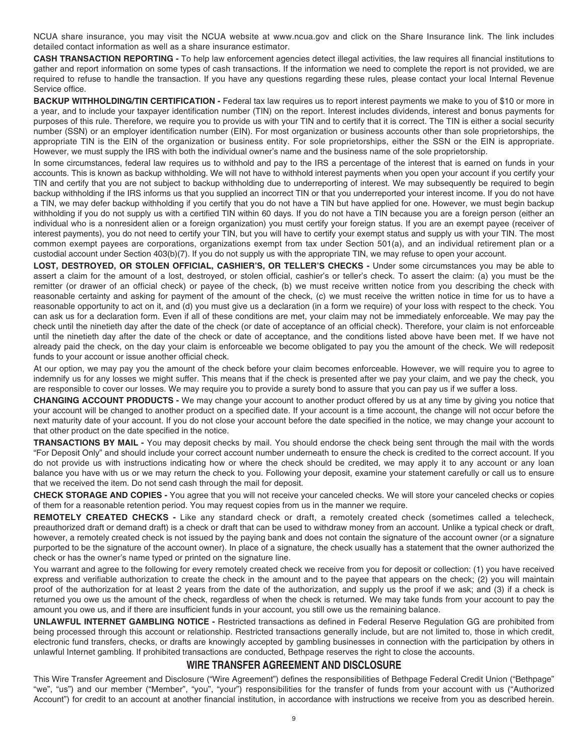<span id="page-11-0"></span> NCUA share insurance, you may visit the NCUA website at <www.ncua.gov>and click on the Share Insurance link. The link includes detailed contact information as well as a share insurance estimator.

 **CASH TRANSACTION REPORTING -** To help law enforcement agencies detect illegal activities, the law requires all financial institutions to gather and report information on some types of cash transactions. If the information we need to complete the report is not provided, we are required to refuse to handle the transaction. If you have any questions regarding these rules, please contact your local Internal Revenue Service office.

 **BACKUP WITHHOLDING/TIN CERTIFICATION -** Federal tax law requires us to report interest payments we make to you of \$10 or more in a year, and to include your taxpayer identification number (TIN) on the report. Interest includes dividends, interest and bonus payments for purposes of this rule. Therefore, we require you to provide us with your TIN and to certify that it is correct. The TIN is either a social security number (SSN) or an employer identification number (EIN). For most organization or business accounts other than sole proprietorships, the appropriate TIN is the EIN of the organization or business entity. For sole proprietorships, either the SSN or the EIN is appropriate. However, we must supply the IRS with both the individual owner's name and the business name of the sole proprietorship.

 In some circumstances, federal law requires us to withhold and pay to the IRS a percentage of the interest that is earned on funds in your accounts. This is known as backup withholding. We will not have to withhold interest payments when you open your account if you certify your TIN and certify that you are not subject to backup withholding due to underreporting of interest. We may subsequently be required to begin backup withholding if the IRS informs us that you supplied an incorrect TIN or that you underreported your interest income. If you do not have a TIN, we may defer backup withholding if you certify that you do not have a TIN but have applied for one. However, we must begin backup withholding if you do not supply us with a certified TIN within 60 days. If you do not have a TIN because you are a foreign person (either an individual who is a nonresident alien or a foreign organization) you must certify your foreign status. If you are an exempt payee (receiver of interest payments), you do not need to certify your TIN, but you will have to certify your exempt status and supply us with your TIN. The most common exempt payees are corporations, organizations exempt from tax under Section 501(a), and an individual retirement plan or a custodial account under Section 403(b)(7). If you do not supply us with the appropriate TIN, we may refuse to open your account.

 **LOST, DESTROYED, OR STOLEN OFFICIAL, CASHIER'S, OR TELLER'S CHECKS -** Under some circumstances you may be able to assert a claim for the amount of a lost, destroyed, or stolen official, cashier's or teller's check. To assert the claim: (a) you must be the remitter (or drawer of an official check) or payee of the check, (b) we must receive written notice from you describing the check with reasonable certainty and asking for payment of the amount of the check, (c) we must receive the written notice in time for us to have a reasonable opportunity to act on it, and (d) you must give us a declaration (in a form we require) of your loss with respect to the check. You can ask us for a declaration form. Even if all of these conditions are met, your claim may not be immediately enforceable. We may pay the check until the ninetieth day after the date of the check (or date of acceptance of an official check). Therefore, your claim is not enforceable until the ninetieth day after the date of the check or date of acceptance, and the conditions listed above have been met. If we have not already paid the check, on the day your claim is enforceable we become obligated to pay you the amount of the check. We will redeposit funds to your account or issue another official check.

 At our option, we may pay you the amount of the check before your claim becomes enforceable. However, we will require you to agree to indemnify us for any losses we might suffer. This means that if the check is presented after we pay your claim, and we pay the check, you are responsible to cover our losses. We may require you to provide a surety bond to assure that you can pay us if we suffer a loss.

 **CHANGING ACCOUNT PRODUCTS -** We may change your account to another product offered by us at any time by giving you notice that your account will be changed to another product on a specified date. If your account is a time account, the change will not occur before the next maturity date of your account. If you do not close your account before the date specified in the notice, we may change your account to that other product on the date specified in the notice.

 **TRANSACTIONS BY MAIL -** You may deposit checks by mail. You should endorse the check being sent through the mail with the words "For Deposit Only" and should include your correct account number underneath to ensure the check is credited to the correct account. If you do not provide us with instructions indicating how or where the check should be credited, we may apply it to any account or any loan balance you have with us or we may return the check to you. Following your deposit, examine your statement carefully or call us to ensure that we received the item. Do not send cash through the mail for deposit.

 **CHECK STORAGE AND COPIES -** You agree that you will not receive your canceled checks. We will store your canceled checks or copies of them for a reasonable retention period. You may request copies from us in the manner we require.

 **REMOTELY CREATED CHECKS -** Like any standard check or draft, a remotely created check (sometimes called a telecheck, preauthorized draft or demand draft) is a check or draft that can be used to withdraw money from an account. Unlike a typical check or draft, however, a remotely created check is not issued by the paying bank and does not contain the signature of the account owner (or a signature purported to be the signature of the account owner). In place of a signature, the check usually has a statement that the owner authorized the check or has the owner's name typed or printed on the signature line.

 You warrant and agree to the following for every remotely created check we receive from you for deposit or collection: (1) you have received express and verifiable authorization to create the check in the amount and to the payee that appears on the check; (2) you will maintain proof of the authorization for at least 2 years from the date of the authorization, and supply us the proof if we ask; and (3) if a check is returned you owe us the amount of the check, regardless of when the check is returned. We may take funds from your account to pay the amount you owe us, and if there are insufficient funds in your account, you still owe us the remaining balance.

 **UNLAWFUL INTERNET GAMBLING NOTICE -** Restricted transactions as defined in Federal Reserve Regulation GG are prohibited from being processed through this account or relationship. Restricted transactions generally include, but are not limited to, those in which credit, electronic fund transfers, checks, or drafts are knowingly accepted by gambling businesses in connection with the participation by others in unlawful Internet gambling. If prohibited transactions are conducted, Bethpage reserves the right to close the accounts.

#### **WIRE TRANSFER AGREEMENT AND DISCLOSURE**

 This Wire Transfer Agreement and Disclosure ("Wire Agreement") defines the responsibilities of Bethpage Federal Credit Union ("Bethpage" "we", "us") and our member ("Member", "you", "your") responsibilities for the transfer of funds from your account with us ("Authorized Account") for credit to an account at another financial institution, in accordance with instructions we receive from you as described herein.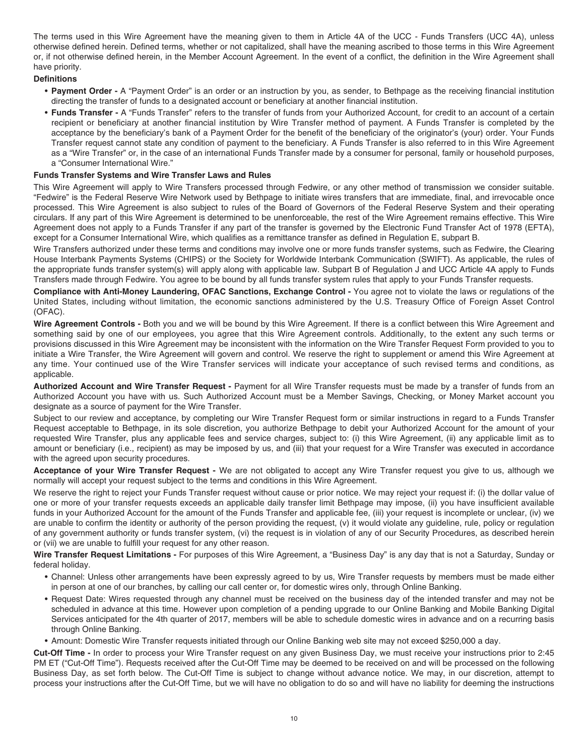The terms used in this Wire Agreement have the meaning given to them in Article 4A of the UCC - Funds Transfers (UCC 4A), unless otherwise defined herein. Defined terms, whether or not capitalized, shall have the meaning ascribed to those terms in this Wire Agreement or, if not otherwise defined herein, in the Member Account Agreement. In the event of a conflict, the definition in the Wire Agreement shall have priority.

#### **Definitions**

- **Payment Order -** A "Payment Order" is an order or an instruction by you, as sender, to Bethpage as the receiving financial institution directing the transfer of funds to a designated account or beneficiary at another financial institution.
- **Funds Transfer -** A "Funds Transfer" refers to the transfer of funds from your Authorized Account, for credit to an account of a certain recipient or beneficiary at another financial institution by Wire Transfer method of payment. A Funds Transfer is completed by the acceptance by the beneficiary's bank of a Payment Order for the benefit of the beneficiary of the originator's (your) order. Your Funds Transfer request cannot state any condition of payment to the beneficiary. A Funds Transfer is also referred to in this Wire Agreement as a "Wire Transfer" or, in the case of an international Funds Transfer made by a consumer for personal, family or household purposes, a "Consumer International Wire."

#### **Funds Transfer Systems and Wire Transfer Laws and Rules**

 This Wire Agreement will apply to Wire Transfers processed through Fedwire, or any other method of transmission we consider suitable. "Fedwire" is the Federal Reserve Wire Network used by Bethpage to initiate wires transfers that are immediate, final, and irrevocable once processed. This Wire Agreement is also subject to rules of the Board of Governors of the Federal Reserve System and their operating circulars. If any part of this Wire Agreement is determined to be unenforceable, the rest of the Wire Agreement remains effective. This Wire Agreement does not apply to a Funds Transfer if any part of the transfer is governed by the Electronic Fund Transfer Act of 1978 (EFTA), except for a Consumer International Wire, which qualifies as a remittance transfer as defined in Regulation E, subpart B.

 Wire Transfers authorized under these terms and conditions may involve one or more funds transfer systems, such as Fedwire, the Clearing House Interbank Payments Systems (CHIPS) or the Society for Worldwide Interbank Communication (SWIFT). As applicable, the rules of the appropriate funds transfer system(s) will apply along with applicable law. Subpart B of Regulation J and UCC Article 4A apply to Funds Transfers made through Fedwire. You agree to be bound by all funds transfer system rules that apply to your Funds Transfer requests.

 **Compliance with Anti-Money Laundering, OFAC Sanctions, Exchange Control -** You agree not to violate the laws or regulations of the United States, including without limitation, the economic sanctions administered by the U.S. Treasury Office of Foreign Asset Control (OFAC).

Wire Agreement Controls - Both you and we will be bound by this Wire Agreement. If there is a conflict between this Wire Agreement and something said by one of our employees, you agree that this Wire Agreement controls. Additionally, to the extent any such terms or provisions discussed in this Wire Agreement may be inconsistent with the information on the Wire Transfer Request Form provided to you to initiate a Wire Transfer, the Wire Agreement will govern and control. We reserve the right to supplement or amend this Wire Agreement at any time. Your continued use of the Wire Transfer services will indicate your acceptance of such revised terms and conditions, as applicable.

 **Authorized Account and Wire Transfer Request -** Payment for all Wire Transfer requests must be made by a transfer of funds from an Authorized Account you have with us. Such Authorized Account must be a Member Savings, Checking, or Money Market account you designate as a source of payment for the Wire Transfer.

 Subject to our review and acceptance, by completing our Wire Transfer Request form or similar instructions in regard to a Funds Transfer Request acceptable to Bethpage, in its sole discretion, you authorize Bethpage to debit your Authorized Account for the amount of your requested Wire Transfer, plus any applicable fees and service charges, subject to: (i) this Wire Agreement, (ii) any applicable limit as to amount or beneficiary (i.e., recipient) as may be imposed by us, and (iii) that your request for a Wire Transfer was executed in accordance with the agreed upon security procedures.

 **Acceptance of your Wire Transfer Request -** We are not obligated to accept any Wire Transfer request you give to us, although we normally will accept your request subject to the terms and conditions in this Wire Agreement.

 We reserve the right to reject your Funds Transfer request without cause or prior notice. We may reject your request if: (i) the dollar value of one or more of your transfer requests exceeds an applicable daily transfer limit Bethpage may impose, (ii) you have insufficient available funds in your Authorized Account for the amount of the Funds Transfer and applicable fee, (iii) your request is incomplete or unclear, (iv) we are unable to confirm the identity or authority of the person providing the request, (v) it would violate any guideline, rule, policy or regulation of any government authority or funds transfer system, (vi) the request is in violation of any of our Security Procedures, as described herein or (vii) we are unable to fulfill your request for any other reason.

 **Wire Transfer Request Limitations -** For purposes of this Wire Agreement, a "Business Day" is any day that is not a Saturday, Sunday or federal holiday.

- • Channel: Unless other arrangements have been expressly agreed to by us, Wire Transfer requests by members must be made either in person at one of our branches, by calling our call center or, for domestic wires only, through Online Banking.
- • Request Date: Wires requested through any channel must be received on the business day of the intended transfer and may not be scheduled in advance at this time. However upon completion of a pending upgrade to our Online Banking and Mobile Banking Digital Services anticipated for the 4th quarter of 2017, members will be able to schedule domestic wires in advance and on a recurring basis through Online Banking.
- Amount: Domestic Wire Transfer requests initiated through our Online Banking web site may not exceed \$250,000 a day.

 **Cut-Off Time -** In order to process your Wire Transfer request on any given Business Day, we must receive your instructions prior to 2:45 PM ET ("Cut-Off Time"). Requests received after the Cut-Off Time may be deemed to be received on and will be processed on the following Business Day, as set forth below. The Cut-Off Time is subject to change without advance notice. We may, in our discretion, attempt to process your instructions after the Cut-Off Time, but we will have no obligation to do so and will have no liability for deeming the instructions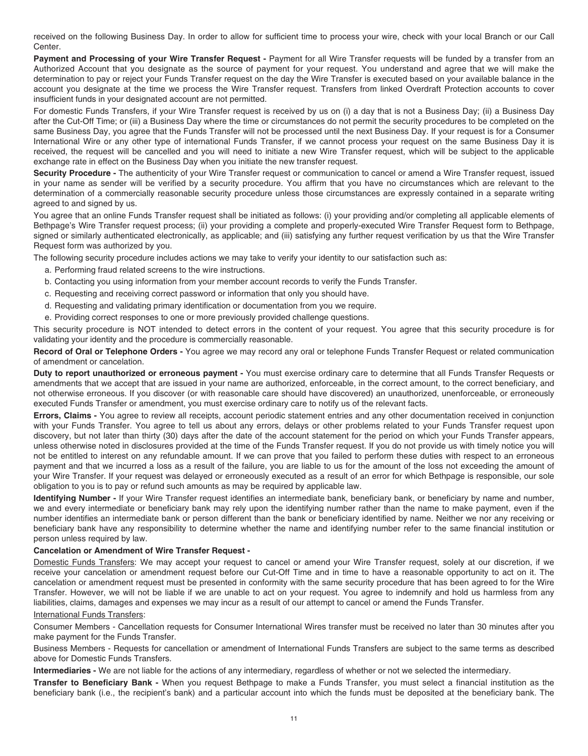received on the following Business Day. In order to allow for sufficient time to process your wire, check with your local Branch or our Call Center.

 **Payment and Processing of your Wire Transfer Request -** Payment for all Wire Transfer requests will be funded by a transfer from an Authorized Account that you designate as the source of payment for your request. You understand and agree that we will make the determination to pay or reject your Funds Transfer request on the day the Wire Transfer is executed based on your available balance in the account you designate at the time we process the Wire Transfer request. Transfers from linked Overdraft Protection accounts to cover insufficient funds in your designated account are not permitted.

 For domestic Funds Transfers, if your Wire Transfer request is received by us on (i) a day that is not a Business Day; (ii) a Business Day after the Cut-Off Time; or (iii) a Business Day where the time or circumstances do not permit the security procedures to be completed on the same Business Day, you agree that the Funds Transfer will not be processed until the next Business Day. If your request is for a Consumer International Wire or any other type of international Funds Transfer, if we cannot process your request on the same Business Day it is received, the request will be cancelled and you will need to initiate a new Wire Transfer request, which will be subject to the applicable exchange rate in effect on the Business Day when you initiate the new transfer request.

 **Security Procedure -** The authenticity of your Wire Transfer request or communication to cancel or amend a Wire Transfer request, issued in your name as sender will be verified by a security procedure. You affirm that you have no circumstances which are relevant to the determination of a commercially reasonable security procedure unless those circumstances are expressly contained in a separate writing agreed to and signed by us.

 You agree that an online Funds Transfer request shall be initiated as follows: (i) your providing and/or completing all applicable elements of Bethpage's Wire Transfer request process; (ii) your providing a complete and properly-executed Wire Transfer Request form to Bethpage, signed or similarly authenticated electronically, as applicable; and (iii) satisfying any further request verification by us that the Wire Transfer Request form was authorized by you.

The following security procedure includes actions we may take to verify your identity to our satisfaction such as:

- a. Performing fraud related screens to the wire instructions.
- b. Contacting you using information from your member account records to verify the Funds Transfer.
- c. Requesting and receiving correct password or information that only you should have.
- d. Requesting and validating primary identification or documentation from you we require.
- e. Providing correct responses to one or more previously provided challenge questions.

 This security procedure is NOT intended to detect errors in the content of your request. You agree that this security procedure is for validating your identity and the procedure is commercially reasonable.

 **Record of Oral or Telephone Orders -** You agree we may record any oral or telephone Funds Transfer Request or related communication of amendment or cancelation.

 **Duty to report unauthorized or erroneous payment -** You must exercise ordinary care to determine that all Funds Transfer Requests or amendments that we accept that are issued in your name are authorized, enforceable, in the correct amount, to the correct beneficiary, and not otherwise erroneous. If you discover (or with reasonable care should have discovered) an unauthorized, unenforceable, or erroneously executed Funds Transfer or amendment, you must exercise ordinary care to notify us of the relevant facts.

 **Errors, Claims -** You agree to review all receipts, account periodic statement entries and any other documentation received in conjunction with your Funds Transfer. You agree to tell us about any errors, delays or other problems related to your Funds Transfer request upon discovery, but not later than thirty (30) days after the date of the account statement for the period on which your Funds Transfer appears, unless otherwise noted in disclosures provided at the time of the Funds Transfer request. If you do not provide us with timely notice you will not be entitled to interest on any refundable amount. If we can prove that you failed to perform these duties with respect to an erroneous payment and that we incurred a loss as a result of the failure, you are liable to us for the amount of the loss not exceeding the amount of your Wire Transfer. If your request was delayed or erroneously executed as a result of an error for which Bethpage is responsible, our sole obligation to you is to pay or refund such amounts as may be required by applicable law.

 **Identifying Number -** If your Wire Transfer request identifies an intermediate bank, beneficiary bank, or beneficiary by name and number, we and every intermediate or beneficiary bank may rely upon the identifying number rather than the name to make payment, even if the number identifies an intermediate bank or person different than the bank or beneficiary identified by name. Neither we nor any receiving or beneficiary bank have any responsibility to determine whether the name and identifying number refer to the same financial institution or person unless required by law.

#### **Cancelation or Amendment of Wire Transfer Request -**

Domestic Funds Transfers: We may accept your request to cancel or amend your Wire Transfer request, solely at our discretion, if we receive your cancelation or amendment request before our Cut-Off Time and in time to have a reasonable opportunity to act on it. The cancelation or amendment request must be presented in conformity with the same security procedure that has been agreed to for the Wire Transfer. However, we will not be liable if we are unable to act on your request. You agree to indemnify and hold us harmless from any liabilities, claims, damages and expenses we may incur as a result of our attempt to cancel or amend the Funds Transfer.

#### International Funds Transfers:

 Consumer Members - Cancellation requests for Consumer International Wires transfer must be received no later than 30 minutes after you make payment for the Funds Transfer.

 Business Members - Requests for cancellation or amendment of International Funds Transfers are subject to the same terms as described above for Domestic Funds Transfers.

 **Intermediaries -** We are not liable for the actions of any intermediary, regardless of whether or not we selected the intermediary.

 **Transfer to Beneficiary Bank -** When you request Bethpage to make a Funds Transfer, you must select a financial institution as the beneficiary bank (i.e., the recipient's bank) and a particular account into which the funds must be deposited at the beneficiary bank. The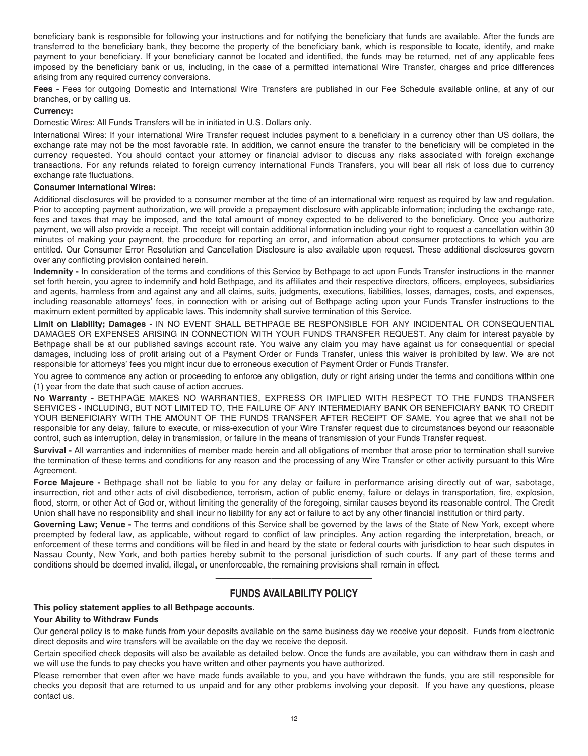<span id="page-14-0"></span> beneficiary bank is responsible for following your instructions and for notifying the beneficiary that funds are available. After the funds are transferred to the beneficiary bank, they become the property of the beneficiary bank, which is responsible to locate, identify, and make payment to your beneficiary. If your beneficiary cannot be located and identified, the funds may be returned, net of any applicable fees imposed by the beneficiary bank or us, including, in the case of a permitted international Wire Transfer, charges and price differences arising from any required currency conversions.

 **Fees -** Fees for outgoing Domestic and International Wire Transfers are published in our Fee Schedule available online, at any of our branches, or by calling us.

#### **Currency:**

Domestic Wires: All Funds Transfers will be in initiated in U.S. Dollars only.

International Wires: If your international Wire Transfer request includes payment to a beneficiary in a currency other than US dollars, the exchange rate may not be the most favorable rate. In addition, we cannot ensure the transfer to the beneficiary will be completed in the currency requested. You should contact your attorney or financial advisor to discuss any risks associated with foreign exchange transactions. For any refunds related to foreign currency international Funds Transfers, you will bear all risk of loss due to currency exchange rate fluctuations.

#### **Consumer International Wires:**

 Additional disclosures will be provided to a consumer member at the time of an international wire request as required by law and regulation. Prior to accepting payment authorization, we will provide a prepayment disclosure with applicable information; including the exchange rate, fees and taxes that may be imposed, and the total amount of money expected to be delivered to the beneficiary. Once you authorize payment, we will also provide a receipt. The receipt will contain additional information including your right to request a cancellation within 30 minutes of making your payment, the procedure for reporting an error, and information about consumer protections to which you are entitled. Our Consumer Error Resolution and Cancellation Disclosure is also available upon request. These additional disclosures govern over any conflicting provision contained herein.

 **Indemnity -** In consideration of the terms and conditions of this Service by Bethpage to act upon Funds Transfer instructions in the manner set forth herein, you agree to indemnify and hold Bethpage, and its affiliates and their respective directors, officers, employees, subsidiaries and agents, harmless from and against any and all claims, suits, judgments, executions, liabilities, losses, damages, costs, and expenses, including reasonable attorneys' fees, in connection with or arising out of Bethpage acting upon your Funds Transfer instructions to the maximum extent permitted by applicable laws. This indemnity shall survive termination of this Service.

 **Limit on Liability; Damages -** IN NO EVENT SHALL BETHPAGE BE RESPONSIBLE FOR ANY INCIDENTAL OR CONSEQUENTIAL DAMAGES OR EXPENSES ARISING IN CONNECTION WITH YOUR FUNDS TRANSFER REQUEST. Any claim for interest payable by Bethpage shall be at our published savings account rate. You waive any claim you may have against us for consequential or special damages, including loss of profit arising out of a Payment Order or Funds Transfer, unless this waiver is prohibited by law. We are not responsible for attorneys' fees you might incur due to erroneous execution of Payment Order or Funds Transfer.

 You agree to commence any action or proceeding to enforce any obligation, duty or right arising under the terms and conditions within one (1) year from the date that such cause of action accrues.

 **No Warranty -** BETHPAGE MAKES NO WARRANTIES, EXPRESS OR IMPLIED WITH RESPECT TO THE FUNDS TRANSFER SERVICES - INCLUDING, BUT NOT LIMITED TO, THE FAILURE OF ANY INTERMEDIARY BANK OR BENEFICIARY BANK TO CREDIT YOUR BENEFICIARY WITH THE AMOUNT OF THE FUNDS TRANSFER AFTER RECEIPT OF SAME. You agree that we shall not be responsible for any delay, failure to execute, or miss-execution of your Wire Transfer request due to circumstances beyond our reasonable control, such as interruption, delay in transmission, or failure in the means of transmission of your Funds Transfer request.

 **Survival -** All warranties and indemnities of member made herein and all obligations of member that arose prior to termination shall survive the termination of these terms and conditions for any reason and the processing of any Wire Transfer or other activity pursuant to this Wire Agreement.

 **Force Majeure -** Bethpage shall not be liable to you for any delay or failure in performance arising directly out of war, sabotage, insurrection, riot and other acts of civil disobedience, terrorism, action of public enemy, failure or delays in transportation, fire, explosion, flood, storm, or other Act of God or, without limiting the generality of the foregoing, similar causes beyond its reasonable control. The Credit Union shall have no responsibility and shall incur no liability for any act or failure to act by any other financial institution or third party.

Governing Law; Venue - The terms and conditions of this Service shall be governed by the laws of the State of New York, except where preempted by federal law, as applicable, without regard to conflict of law principles. Any action regarding the interpretation, breach, or enforcement of these terms and conditions will be filed in and heard by the state or federal courts with jurisdiction to hear such disputes in Nassau County, New York, and both parties hereby submit to the personal jurisdiction of such courts. If any part of these terms and conditions should be deemed invalid, illegal, or unenforceable, the remaining provisions shall remain in effect.

# —————————————— **FUNDS AVAILABILITY POLICY**

#### **This policy statement applies to all Bethpage accounts.**

#### **Your Ability to Withdraw Funds**

 Our general policy is to make funds from your deposits available on the same business day we receive your deposit. Funds from electronic direct deposits and wire transfers will be available on the day we receive the deposit.

 Certain specified check deposits will also be available as detailed below. Once the funds are available, you can withdraw them in cash and we will use the funds to pay checks you have written and other payments you have authorized.

 Please remember that even after we have made funds available to you, and you have withdrawn the funds, you are still responsible for checks you deposit that are returned to us unpaid and for any other problems involving your deposit. If you have any questions, please contact us.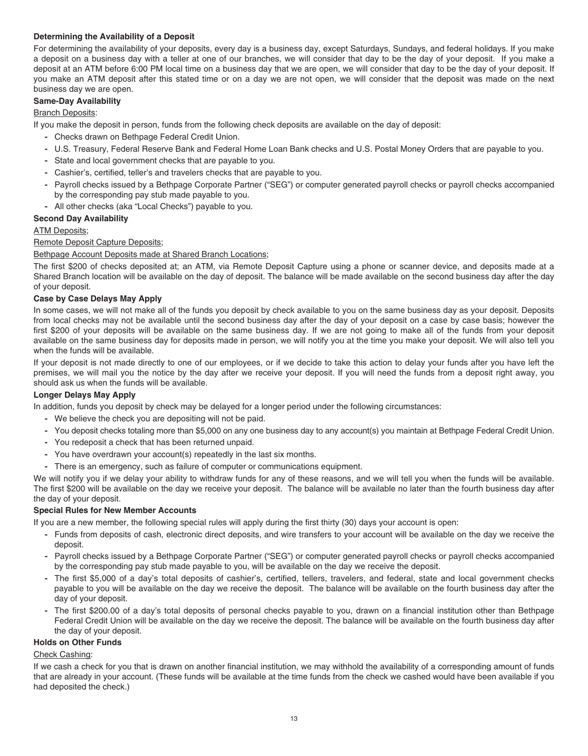#### **Determining the Availability of a Deposit**

 For determining the availability of your deposits, every day is a business day, except Saturdays, Sundays, and federal holidays. If you make a deposit on a business day with a teller at one of our branches, we will consider that day to be the day of your deposit. If you make a deposit at an ATM before 6:00 PM local time on a business day that we are open, we will consider that day to be the day of your deposit. If you make an ATM deposit after this stated time or on a day we are not open, we will consider that the deposit was made on the next business day we are open.

#### **Same-Day Availability**

#### **Branch Deposits:**

If you make the deposit in person, funds from the following check deposits are available on the day of deposit:

- **-** Checks drawn on Bethpage Federal Credit Union.
- **-** U.S. Treasury, Federal Reserve Bank and Federal Home Loan Bank checks and U.S. Postal Money Orders that are payable to you.
- **-** State and local government checks that are payable to you.
- **-** Cashier's, certified, teller's and travelers checks that are payable to you.
- **-** Payroll checks issued by a Bethpage Corporate Partner ("SEG") or computer generated payroll checks or payroll checks accompanied by the corresponding pay stub made payable to you.
- **-** All other checks (aka "Local Checks") payable to you.
- **Second Day Availability**

#### ATM Deposits;

#### Remote Deposit Capture Deposits;

Bethpage Account Deposits made at Shared Branch Locations;

 The first \$200 of checks deposited at; an ATM, via Remote Deposit Capture using a phone or scanner device, and deposits made at a Shared Branch location will be available on the day of deposit. The balance will be made available on the second business day after the day of your deposit.

#### **Case by Case Delays May Apply**

 In some cases, we will not make all of the funds you deposit by check available to you on the same business day as your deposit. Deposits from local checks may not be available until the second business day after the day of your deposit on a case by case basis; however the first \$200 of your deposits will be available on the same business day. If we are not going to make all of the funds from your deposit available on the same business day for deposits made in person, we will notify you at the time you make your deposit. We will also tell you when the funds will be available.

 If your deposit is not made directly to one of our employees, or if we decide to take this action to delay your funds after you have left the premises, we will mail you the notice by the day after we receive your deposit. If you will need the funds from a deposit right away, you should ask us when the funds will be available.

#### **Longer Delays May Apply**

In addition, funds you deposit by check may be delayed for a longer period under the following circumstances:

- **-** We believe the check you are depositing will not be paid.
- **-** You deposit checks totaling more than \$5,000 on any one business day to any account(s) you maintain at Bethpage Federal Credit Union.
- **-** You redeposit a check that has been returned unpaid.
- **-** You have overdrawn your account(s) repeatedly in the last six months.
- **-** There is an emergency, such as failure of computer or communications equipment.

 We will notify you if we delay your ability to withdraw funds for any of these reasons, and we will tell you when the funds will be available. The first \$200 will be available on the day we receive your deposit. The balance will be available no later than the fourth business day after the day of your deposit.

#### **Special Rules for New Member Accounts**

If you are a new member, the following special rules will apply during the first thirty (30) days your account is open:

- **-** Funds from deposits of cash, electronic direct deposits, and wire transfers to your account will be available on the day we receive the deposit.
- **-** Payroll checks issued by a Bethpage Corporate Partner ("SEG") or computer generated payroll checks or payroll checks accompanied by the corresponding pay stub made payable to you, will be available on the day we receive the deposit.
- **-** The first \$5,000 of a day's total deposits of cashier's, certified, tellers, travelers, and federal, state and local government checks payable to you will be available on the day we receive the deposit. The balance will be available on the fourth business day after the day of your deposit.
- **-** The first \$200.00 of a day's total deposits of personal checks payable to you, drawn on a financial institution other than Bethpage Federal Credit Union will be available on the day we receive the deposit. The balance will be available on the fourth business day after the day of your deposit.

#### **Holds on Other Funds**

#### Check Cashing:

 If we cash a check for you that is drawn on another financial institution, we may withhold the availability of a corresponding amount of funds that are already in your account. (These funds will be available at the time funds from the check we cashed would have been available if you had deposited the check.)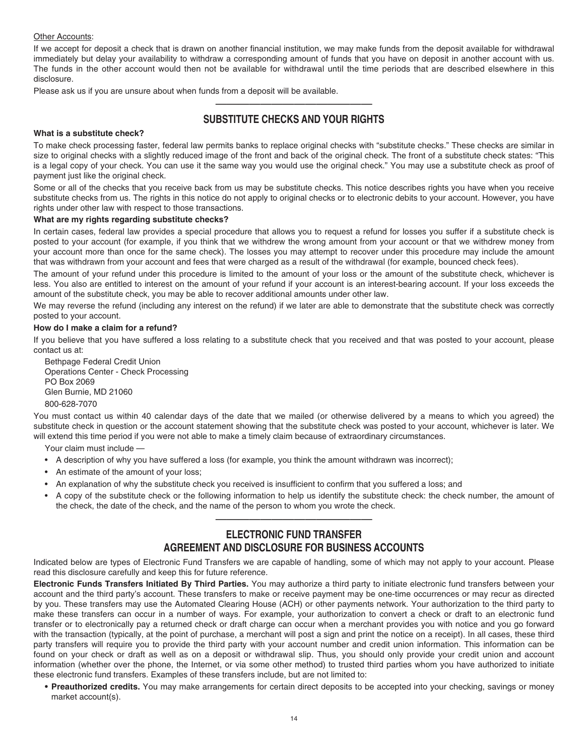#### <span id="page-16-0"></span>Other Accounts:

 If we accept for deposit a check that is drawn on another financial institution, we may make funds from the deposit available for withdrawal immediately but delay your availability to withdraw a corresponding amount of funds that you have on deposit in another account with us. The funds in the other account would then not be available for withdrawal until the time periods that are described elsewhere in this disclosure.

Please ask us if you are unsure about when funds from a deposit will be available.

# **SUBSTITUTE CHECKS AND YOUR RIGHTS**  ——————————————

#### **What is a substitute check?**

 To make check processing faster, federal law permits banks to replace original checks with "substitute checks." These checks are similar in size to original checks with a slightly reduced image of the front and back of the original check. The front of a substitute check states: "This is a legal copy of your check. You can use it the same way you would use the original check." You may use a substitute check as proof of payment just like the original check.

 Some or all of the checks that you receive back from us may be substitute checks. This notice describes rights you have when you receive substitute checks from us. The rights in this notice do not apply to original checks or to electronic debits to your account. However, you have rights under other law with respect to those transactions.

#### **What are my rights regarding substitute checks?**

 In certain cases, federal law provides a special procedure that allows you to request a refund for losses you suffer if a substitute check is posted to your account (for example, if you think that we withdrew the wrong amount from your account or that we withdrew money from your account more than once for the same check). The losses you may attempt to recover under this procedure may include the amount that was withdrawn from your account and fees that were charged as a result of the withdrawal (for example, bounced check fees).

 The amount of your refund under this procedure is limited to the amount of your loss or the amount of the substitute check, whichever is less. You also are entitled to interest on the amount of your refund if your account is an interest-bearing account. If your loss exceeds the amount of the substitute check, you may be able to recover additional amounts under other law.

 We may reverse the refund (including any interest on the refund) if we later are able to demonstrate that the substitute check was correctly posted to your account.

#### **How do I make a claim for a refund?**

 If you believe that you have suffered a loss relating to a substitute check that you received and that was posted to your account, please contact us at:

 Bethpage Federal Credit Union Operations Center - Check Processing PO Box 2069 Glen Burnie, MD 21060

800-628-7070

 You must contact us within 40 calendar days of the date that we mailed (or otherwise delivered by a means to which you agreed) the substitute check in question or the account statement showing that the substitute check was posted to your account, whichever is later. We will extend this time period if you were not able to make a timely claim because of extraordinary circumstances.

Your claim must include —

- A description of why you have suffered a loss (for example, you think the amount withdrawn was incorrect);
- An estimate of the amount of your loss;
- An explanation of why the substitute check you received is insufficient to confirm that you suffered a loss; and
- • A copy of the substitute check or the following information to help us identify the substitute check: the check number, the amount of the check, the date of the check, and the name of the person to whom you wrote the check.

# **ELECTRONIC FUND TRANSFER AGREEMENT AND DISCLOSURE FOR BUSINESS ACCOUNTS**

——————————————

 Indicated below are types of Electronic Fund Transfers we are capable of handling, some of which may not apply to your account. Please read this disclosure carefully and keep this for future reference.

 **Electronic Funds Transfers Initiated By Third Parties.** You may authorize a third party to initiate electronic fund transfers between your account and the third party's account. These transfers to make or receive payment may be one-time occurrences or may recur as directed by you. These transfers may use the Automated Clearing House (ACH) or other payments network. Your authorization to the third party to make these transfers can occur in a number of ways. For example, your authorization to convert a check or draft to an electronic fund transfer or to electronically pay a returned check or draft charge can occur when a merchant provides you with notice and you go forward with the transaction (typically, at the point of purchase, a merchant will post a sign and print the notice on a receipt). In all cases, these third party transfers will require you to provide the third party with your account number and credit union information. This information can be found on your check or draft as well as on a deposit or withdrawal slip. Thus, you should only provide your credit union and account information (whether over the phone, the Internet, or via some other method) to trusted third parties whom you have authorized to initiate these electronic fund transfers. Examples of these transfers include, but are not limited to:

 **• Preauthorized credits.** You may make arrangements for certain direct deposits to be accepted into your checking, savings or money market account(s).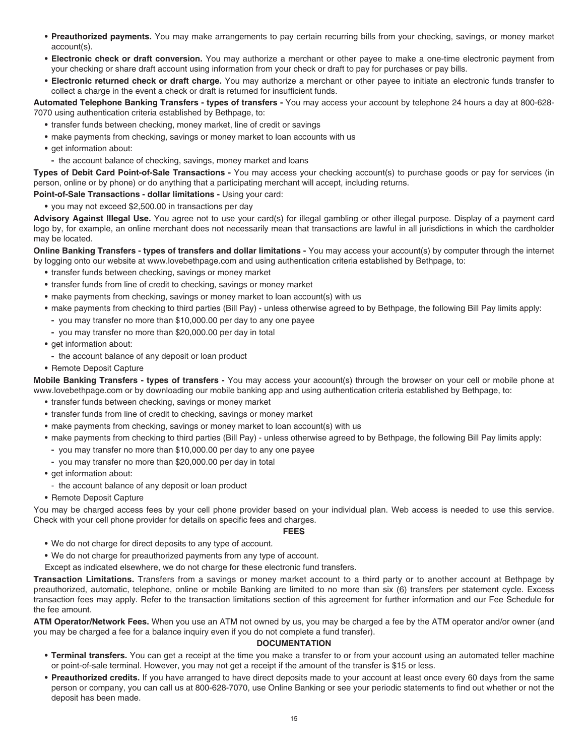- **Preauthorized payments.** You may make arrangements to pay certain recurring bills from your checking, savings, or money market account(s).
- **Electronic check or draft conversion.** You may authorize a merchant or other payee to make a one-time electronic payment from your checking or share draft account using information from your check or draft to pay for purchases or pay bills.
- **Electronic returned check or draft charge.** You may authorize a merchant or other payee to initiate an electronic funds transfer to collect a charge in the event a check or draft is returned for insufficient funds.

 **Automated Telephone Banking Transfers - types of transfers -** You may access your account by telephone 24 hours a day at 800-628- 7070 using authentication criteria established by Bethpage, to:

- transfer funds between checking, money market, line of credit or savings
- make payments from checking, savings or money market to loan accounts with us
- get information about:
- **-** the account balance of checking, savings, money market and loans

 **Types of Debit Card Point-of-Sale Transactions -** You may access your checking account(s) to purchase goods or pay for services (in person, online or by phone) or do anything that a participating merchant will accept, including returns.

 **Point-of-Sale Transactions - dollar limitations -** Using your card:

**•** you may not exceed \$2,500.00 in transactions per day

 **Advisory Against Illegal Use.** You agree not to use your card(s) for illegal gambling or other illegal purpose. Display of a payment card logo by, for example, an online merchant does not necessarily mean that transactions are lawful in all jurisdictions in which the cardholder may be located.

 **Online Banking Transfers - types of transfers and dollar limitations -** You may access your account(s) by computer through the internet by logging onto our website at www.lovebethpage.com and using authentication criteria established by Bethpage, to:

- transfer funds between checking, savings or money market
- transfer funds from line of credit to checking, savings or money market
- make payments from checking, savings or money market to loan account(s) with us
- make payments from checking to third parties (Bill Pay) unless otherwise agreed to by Bethpage, the following Bill Pay limits apply:
	- **-** you may transfer no more than \$10,000.00 per day to any one payee
	- **-** you may transfer no more than \$20,000.00 per day in total
- get information about:
- **-** the account balance of any deposit or loan product
- Remote Deposit Capture

 **Mobile Banking Transfers - types of transfers -** You may access your account(s) through the browser on your cell or mobile phone at [www.lovebethpage.com or by downloading our mobile banking app and using authentication criteria established by Bethpage, to](www.lovebethpage.comorbydownloadingourmobilebankingappandusingauthenticationcriteriaestablishedbyBethpage,to):

- transfer funds between checking, savings or money market
- transfer funds from line of credit to checking, savings or money market
- make payments from checking, savings or money market to loan account(s) with us
- make payments from checking to third parties (Bill Pay) unless otherwise agreed to by Bethpage, the following Bill Pay limits apply:
- **-** you may transfer no more than \$10,000.00 per day to any one payee
- **-** you may transfer no more than \$20,000.00 per day in total
- get information about:
- the account balance of any deposit or loan product
- Remote Deposit Capture

 You may be charged access fees by your cell phone provider based on your individual plan. Web access is needed to use this service. Check with your cell phone provider for details on specific fees and charges.

#### **FEES**

- We do not charge for direct deposits to any type of account.
- We do not charge for preauthorized payments from any type of account.
- Except as indicated elsewhere, we do not charge for these electronic fund transfers.

 **Transaction Limitations.** Transfers from a savings or money market account to a third party or to another account at Bethpage by preauthorized, automatic, telephone, online or mobile Banking are limited to no more than six (6) transfers per statement cycle. Excess transaction fees may apply. Refer to the transaction limitations section of this agreement for further information and our Fee Schedule for the fee amount.

 **ATM Operator/Network Fees.** When you use an ATM not owned by us, you may be charged a fee by the ATM operator and/or owner (and you may be charged a fee for a balance inquiry even if you do not complete a fund transfer).

#### **DOCUMENTATION**

- **Terminal transfers.** You can get a receipt at the time you make a transfer to or from your account using an automated teller machine or point-of-sale terminal. However, you may not get a receipt if the amount of the transfer is \$15 or less.
- **Preauthorized credits.** If you have arranged to have direct deposits made to your account at least once every 60 days from the same person or company, you can call us at 800-628-7070, use Online Banking or see your periodic statements to find out whether or not the deposit has been made.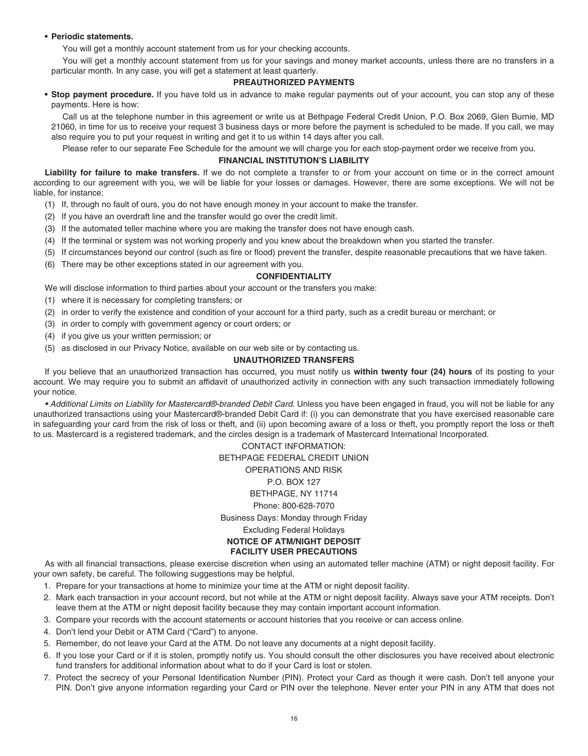#### **• Periodic statements.**

You will get a monthly account statement from us for your checking accounts.

 You will get a monthly account statement from us for your savings and money market accounts, unless there are no transfers in a particular month. In any case, you will get a statement at least quarterly.

#### **PREAUTHORIZED PAYMENTS**

 **• Stop payment procedure.** If you have told us in advance to make regular payments out of your account, you can stop any of these payments. Here is how:

 Call us at the telephone number in this agreement or write us at Bethpage Federal Credit Union, P.O. Box 2069, Glen Burnie, MD 21060, in time for us to receive your request 3 business days or more before the payment is scheduled to be made. If you call, we may also require you to put your request in writing and get it to us within 14 days after you call.

Please refer to our separate Fee Schedule for the amount we will charge you for each stop-payment order we receive from you.

#### **FINANCIAL INSTITUTION'S LIABILITY**

Liability for failure to make transfers. If we do not complete a transfer to or from your account on time or in the correct amount according to our agreement with you, we will be liable for your losses or damages. However, there are some exceptions. We will not be liable, for instance:

- (1) If, through no fault of ours, you do not have enough money in your account to make the transfer.
- (2) If you have an overdraft line and the transfer would go over the credit limit.
- (3) If the automated teller machine where you are making the transfer does not have enough cash.
- (4) If the terminal or system was not working properly and you knew about the breakdown when you started the transfer.
- (5) If circumstances beyond our control (such as fire or flood) prevent the transfer, despite reasonable precautions that we have taken.
- (6) There may be other exceptions stated in our agreement with you.

#### **CONFIDENTIALITY**

We will disclose information to third parties about your account or the transfers you make:

- (1) where it is necessary for completing transfers; or
- (2) in order to verify the existence and condition of your account for a third party, such as a credit bureau or merchant; or
- (3) in order to comply with government agency or court orders; or
- (4) if you give us your written permission; or
- (5) as disclosed in our Privacy Notice, available on our web site or by contacting us.

#### **UNAUTHORIZED TRANSFERS**

 If you believe that an unauthorized transaction has occurred, you must notify us **within twenty four (24) hours** of its posting to your account. We may require you to submit an affidavit of unauthorized activity in connection with any such transaction immediately following your notice.

 *• Additional Limits on Liability for Mastercard®-branded Debit Card*. Unless you have been engaged in fraud, you will not be liable for any unauthorized transactions using your Mastercard®-branded Debit Card if: (i) you can demonstrate that you have exercised reasonable care in safeguarding your card from the risk of loss or theft, and (ii) upon becoming aware of a loss or theft, you promptly report the loss or theft to us. Mastercard is a registered trademark, and the circles design is a trademark of Mastercard International Incorporated.

> BETHPAGE FEDERAL CREDIT UNION OPERATIONS AND RISK P.O. BOX 127 BETHPAGE, NY 11714 Business Days: Monday through Friday Excluding Federal Holidays  **NOTICE OF ATM/NIGHT DEPOSIT FACILITY USER PRECAUTIONS**  CONTACT INFORMATION: Phone: 800-628-7070

 As with all financial transactions, please exercise discretion when using an automated teller machine (ATM) or night deposit facility. For your own safety, be careful. The following suggestions may be helpful.

- 1. Prepare for your transactions at home to minimize your time at the ATM or night deposit facility.
- 2. Mark each transaction in your account record, but not while at the ATM or night deposit facility. Always save your ATM receipts. Don't leave them at the ATM or night deposit facility because they may contain important account information.
- 3. Compare your records with the account statements or account histories that you receive or can access online.
- 4. Don't lend your Debit or ATM Card ("Card") to anyone.
- 5. Remember, do not leave your Card at the ATM. Do not leave any documents at a night deposit facility.
- 6. If you lose your Card or if it is stolen, promptly notify us. You should consult the other disclosures you have received about electronic fund transfers for additional information about what to do if your Card is lost or stolen.
- 7. Protect the secrecy of your Personal Identification Number (PIN). Protect your Card as though it were cash. Don't tell anyone your PIN. Don't give anyone information regarding your Card or PIN over the telephone. Never enter your PIN in any ATM that does not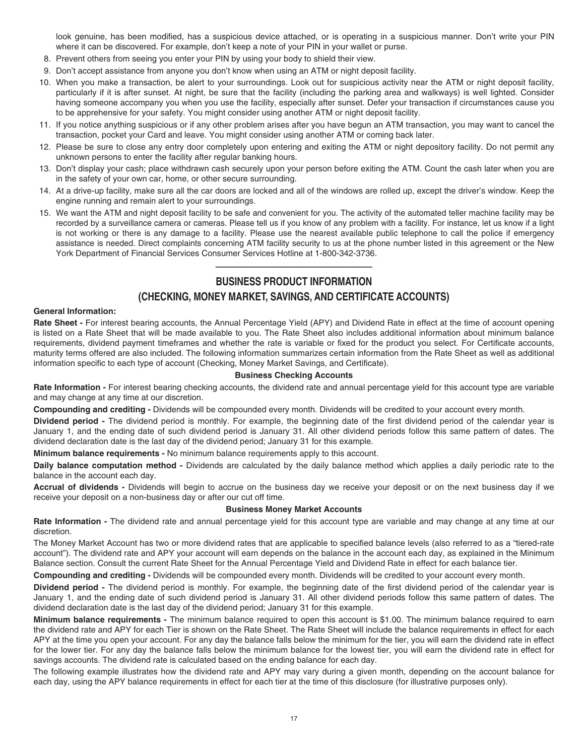<span id="page-19-0"></span> look genuine, has been modified, has a suspicious device attached, or is operating in a suspicious manner. Don't write your PIN where it can be discovered. For example, don't keep a note of your PIN in your wallet or purse.

- 8. Prevent others from seeing you enter your PIN by using your body to shield their view.
- 9. Don't accept assistance from anyone you don't know when using an ATM or night deposit facility.
- 10. When you make a transaction, be alert to your surroundings. Look out for suspicious activity near the ATM or night deposit facility, particularly if it is after sunset. At night, be sure that the facility (including the parking area and walkways) is well lighted. Consider having someone accompany you when you use the facility, especially after sunset. Defer your transaction if circumstances cause you to be apprehensive for your safety. You might consider using another ATM or night deposit facility.
- 11. If you notice anything suspicious or if any other problem arises after you have begun an ATM transaction, you may want to cancel the transaction, pocket your Card and leave. You might consider using another ATM or coming back later.
- 12. Please be sure to close any entry door completely upon entering and exiting the ATM or night depository facility. Do not permit any unknown persons to enter the facility after regular banking hours.
- 13. Don't display your cash; place withdrawn cash securely upon your person before exiting the ATM. Count the cash later when you are in the safety of your own car, home, or other secure surrounding.
- 14. At a drive-up facility, make sure all the car doors are locked and all of the windows are rolled up, except the driver's window. Keep the engine running and remain alert to your surroundings.
- 15. We want the ATM and night deposit facility to be safe and convenient for you. The activity of the automated teller machine facility may be recorded by a surveillance camera or cameras. Please tell us if you know of any problem with a facility. For instance, let us know if a light is not working or there is any damage to a facility. Please use the nearest available public telephone to call the police if emergency assistance is needed. Direct complaints concerning ATM facility security to us at the phone number listed in this agreement or the New York Department of Financial Services Consumer Services Hotline at 1-800-342-3736.

# **BUSINESS PRODUCT INFORMATION**  ——————————————

# **(CHECKING, MONEY MARKET, SAVINGS, AND CERTIFICATE ACCOUNTS)**

#### **General Information:**

Rate Sheet - For interest bearing accounts, the Annual Percentage Yield (APY) and Dividend Rate in effect at the time of account opening is listed on a Rate Sheet that will be made available to you. The Rate Sheet also includes additional information about minimum balance requirements, dividend payment timeframes and whether the rate is variable or fixed for the product you select. For Certificate accounts, maturity terms offered are also included. The following information summarizes certain information from the Rate Sheet as well as additional information specific to each type of account (Checking, Money Market Savings, and Certificate).

#### **Business Checking Accounts**

 **Rate Information -** For interest bearing checking accounts, the dividend rate and annual percentage yield for this account type are variable and may change at any time at our discretion.

 **Compounding and crediting -** Dividends will be compounded every month. Dividends will be credited to your account every month.

 **Dividend period -** The dividend period is monthly. For example, the beginning date of the first dividend period of the calendar year is January 1, and the ending date of such dividend period is January 31. All other dividend periods follow this same pattern of dates. The dividend declaration date is the last day of the dividend period; January 31 for this example.

 **Minimum balance requirements -** No minimum balance requirements apply to this account.

 **Daily balance computation method -** Dividends are calculated by the daily balance method which applies a daily periodic rate to the balance in the account each day.

 **Accrual of dividends -** Dividends will begin to accrue on the business day we receive your deposit or on the next business day if we receive your deposit on a non-business day or after our cut off time.

#### **Business Money Market Accounts**

 **Rate Information -** The dividend rate and annual percentage yield for this account type are variable and may change at any time at our discretion.

 The Money Market Account has two or more dividend rates that are applicable to specified balance levels (also referred to as a "tiered-rate account"). The dividend rate and APY your account will earn depends on the balance in the account each day, as explained in the Minimum Balance section. Consult the current Rate Sheet for the Annual Percentage Yield and Dividend Rate in effect for each balance tier.

 **Compounding and crediting -** Dividends will be compounded every month. Dividends will be credited to your account every month.

 **Dividend period -** The dividend period is monthly. For example, the beginning date of the first dividend period of the calendar year is January 1, and the ending date of such dividend period is January 31. All other dividend periods follow this same pattern of dates. The dividend declaration date is the last day of the dividend period; January 31 for this example.

 **Minimum balance requirements -** The minimum balance required to open this account is \$1.00. The minimum balance required to earn the dividend rate and APY for each Tier is shown on the Rate Sheet. The Rate Sheet will include the balance requirements in effect for each APY at the time you open your account. For any day the balance falls below the minimum for the tier, you will earn the dividend rate in effect for the lower tier. For any day the balance falls below the minimum balance for the lowest tier, you will earn the dividend rate in effect for savings accounts. The dividend rate is calculated based on the ending balance for each day.

 The following example illustrates how the dividend rate and APY may vary during a given month, depending on the account balance for each day, using the APY balance requirements in effect for each tier at the time of this disclosure (for illustrative purposes only).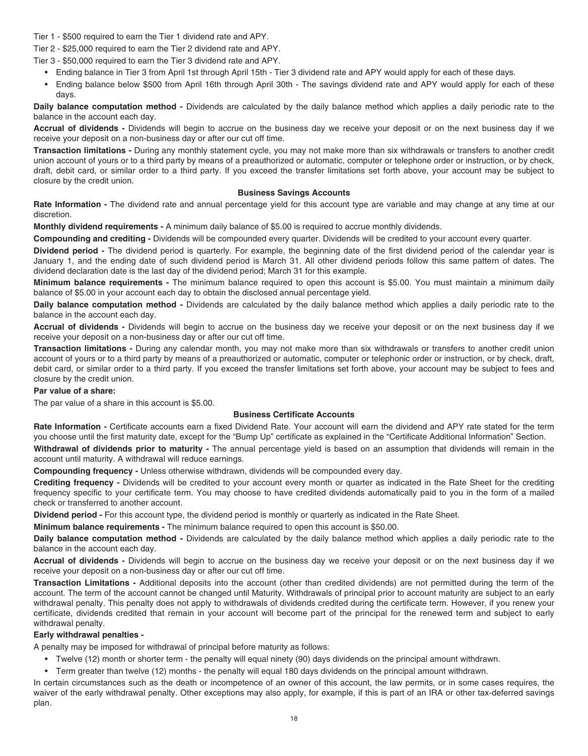<span id="page-20-0"></span>Tier 1 - \$500 required to earn the Tier 1 dividend rate and APY.

Tier 2 - \$25,000 required to earn the Tier 2 dividend rate and APY.

Tier 3 - \$50,000 required to earn the Tier 3 dividend rate and APY.

- Ending balance in Tier 3 from April 1st through April 15th Tier 3 dividend rate and APY would apply for each of these days.
- • Ending balance below \$500 from April 16th through April 30th The savings dividend rate and APY would apply for each of these days.

 **Daily balance computation method -** Dividends are calculated by the daily balance method which applies a daily periodic rate to the balance in the account each day.

 **Accrual of dividends -** Dividends will begin to accrue on the business day we receive your deposit or on the next business day if we receive your deposit on a non-business day or after our cut off time.

 **Transaction limitations -** During any monthly statement cycle, you may not make more than six withdrawals or transfers to another credit union account of yours or to a third party by means of a preauthorized or automatic, computer or telephone order or instruction, or by check, draft, debit card, or similar order to a third party. If you exceed the transfer limitations set forth above, your account may be subject to closure by the credit union.

#### **Business Savings Accounts**

 **Rate Information -** The dividend rate and annual percentage yield for this account type are variable and may change at any time at our discretion.

 **Monthly dividend requirements -** A minimum daily balance of \$5.00 is required to accrue monthly dividends.

 **Compounding and crediting -** Dividends will be compounded every quarter. Dividends will be credited to your account every quarter.

 **Dividend period -** The dividend period is quarterly. For example, the beginning date of the first dividend period of the calendar year is January 1, and the ending date of such dividend period is March 31. All other dividend periods follow this same pattern of dates. The dividend declaration date is the last day of the dividend period; March 31 for this example.

 **Minimum balance requirements -** The minimum balance required to open this account is \$5.00. You must maintain a minimum daily balance of \$5.00 in your account each day to obtain the disclosed annual percentage yield.

 **Daily balance computation method -** Dividends are calculated by the daily balance method which applies a daily periodic rate to the balance in the account each day.

 **Accrual of dividends -** Dividends will begin to accrue on the business day we receive your deposit or on the next business day if we receive your deposit on a non-business day or after our cut off time.

 **Transaction limitations -** During any calendar month, you may not make more than six withdrawals or transfers to another credit union account of yours or to a third party by means of a preauthorized or automatic, computer or telephonic order or instruction, or by check, draft, debit card, or similar order to a third party. If you exceed the transfer limitations set forth above, your account may be subject to fees and closure by the credit union.

#### **Par value of a share:**

[The par value of a share in this account is \\$5.00.](https://Theparvalueofashareinthisaccountis$5.00)

#### **Business Certificate Accounts**

 **Rate Information -** Certificate accounts earn a fixed Dividend Rate. Your account will earn the dividend and APY rate stated for the term you choose until the first maturity date, except for the "Bump Up" certificate as explained in the "Certificate Additional Information" Section.

 **Withdrawal of dividends prior to maturity -** The annual percentage yield is based on an assumption that dividends will remain in the account until maturity. A withdrawal will reduce earnings.

 **Compounding frequency -** Unless otherwise withdrawn, dividends will be compounded every day.

 **Crediting frequency -** Dividends will be credited to your account every month or quarter as indicated in the Rate Sheet for the crediting frequency specific to your certificate term. You may choose to have credited dividends automatically paid to you in the form of a mailed check or transferred to another account.

 **Dividend period -** For this account type, the dividend period is monthly or quarterly as indicated in the Rate Sheet.

 **Minimum balance requirements -** [The minimum balance required to open this account is \\$50.00](https://Theminimumbalancerequiredtoopenthisaccountis$50.00).

 **Daily balance computation method -** Dividends are calculated by the daily balance method which applies a daily periodic rate to the balance in the account each day.

 **Accrual of dividends -** Dividends will begin to accrue on the business day we receive your deposit or on the next business day if we receive your deposit on a non-business day or after our cut off time.

 **Transaction Limitations -** Additional deposits into the account (other than credited dividends) are not permitted during the term of the account. The term of the account cannot be changed until Maturity. Withdrawals of principal prior to account maturity are subject to an early withdrawal penalty. This penalty does not apply to withdrawals of dividends credited during the certificate term. However, if you renew your certificate, dividends credited that remain in your account will become part of the principal for the renewed term and subject to early withdrawal penalty.

#### **Early withdrawal penalties -**

A penalty may be imposed for withdrawal of principal before maturity as follows:

- Twelve (12) month or shorter term the penalty will equal ninety (90) days dividends on the principal amount withdrawn.
- Term greater than twelve (12) months the penalty will equal 180 days dividends on the principal amount withdrawn.

 In certain circumstances such as the death or incompetence of an owner of this account, the law permits, or in some cases requires, the waiver of the early withdrawal penalty. Other exceptions may also apply, for example, if this is part of an IRA or other tax-deferred savings plan.